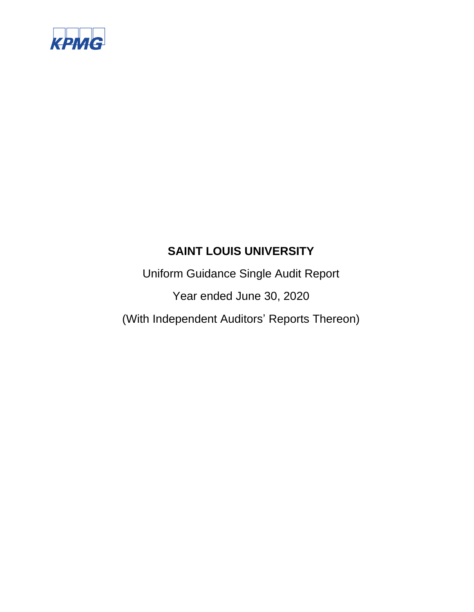

Uniform Guidance Single Audit Report

Year ended June 30, 2020

(With Independent Auditors' Reports Thereon)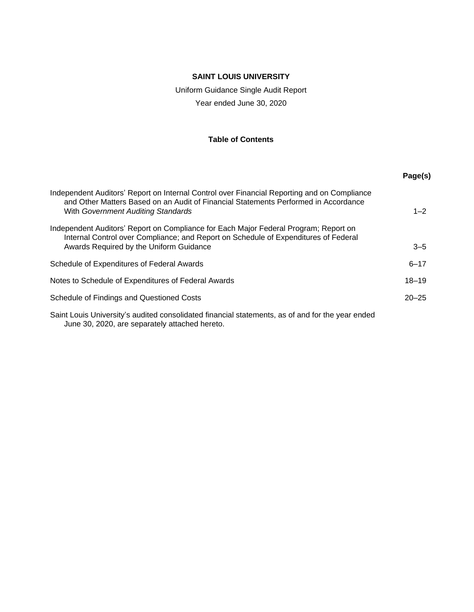Uniform Guidance Single Audit Report Year ended June 30, 2020

# **Table of Contents**

|                                                                                                                                                                                                                          | Page(s)   |
|--------------------------------------------------------------------------------------------------------------------------------------------------------------------------------------------------------------------------|-----------|
| Independent Auditors' Report on Internal Control over Financial Reporting and on Compliance<br>and Other Matters Based on an Audit of Financial Statements Performed in Accordance<br>With Government Auditing Standards | $1 - 2$   |
| Independent Auditors' Report on Compliance for Each Major Federal Program; Report on<br>Internal Control over Compliance; and Report on Schedule of Expenditures of Federal<br>Awards Required by the Uniform Guidance   | $3 - 5$   |
| Schedule of Expenditures of Federal Awards                                                                                                                                                                               | $6 - 17$  |
| Notes to Schedule of Expenditures of Federal Awards                                                                                                                                                                      | $18 - 19$ |
| Schedule of Findings and Questioned Costs                                                                                                                                                                                | $20 - 25$ |
| Saint Louis University's audited consolidated financial statements, as of and for the year ended<br>June 30, 2020, are separately attached hereto.                                                                       |           |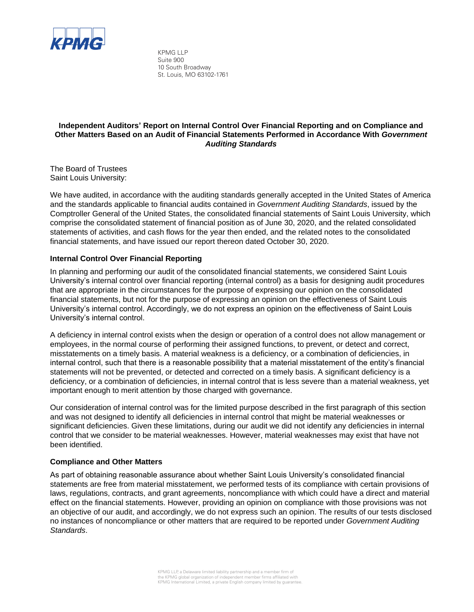

KPMG LLP Suite 900 10 South Broadway St. Louis, MO 63102-1761

# **Independent Auditors' Report on Internal Control Over Financial Reporting and on Compliance and Other Matters Based on an Audit of Financial Statements Performed in Accordance With** *Government Auditing Standards*

The Board of Trustees Saint Louis University:

We have audited, in accordance with the auditing standards generally accepted in the United States of America and the standards applicable to financial audits contained in *Government Auditing Standards*, issued by the Comptroller General of the United States, the consolidated financial statements of Saint Louis University, which comprise the consolidated statement of financial position as of June 30, 2020, and the related consolidated statements of activities, and cash flows for the year then ended, and the related notes to the consolidated financial statements, and have issued our report thereon dated October 30, 2020.

# **Internal Control Over Financial Reporting**

In planning and performing our audit of the consolidated financial statements, we considered Saint Louis University's internal control over financial reporting (internal control) as a basis for designing audit procedures that are appropriate in the circumstances for the purpose of expressing our opinion on the consolidated financial statements, but not for the purpose of expressing an opinion on the effectiveness of Saint Louis University's internal control. Accordingly, we do not express an opinion on the effectiveness of Saint Louis University's internal control.

A deficiency in internal control exists when the design or operation of a control does not allow management or employees, in the normal course of performing their assigned functions, to prevent, or detect and correct, misstatements on a timely basis. A material weakness is a deficiency, or a combination of deficiencies, in internal control, such that there is a reasonable possibility that a material misstatement of the entity's financial statements will not be prevented, or detected and corrected on a timely basis. A significant deficiency is a deficiency, or a combination of deficiencies, in internal control that is less severe than a material weakness, yet important enough to merit attention by those charged with governance.

Our consideration of internal control was for the limited purpose described in the first paragraph of this section and was not designed to identify all deficiencies in internal control that might be material weaknesses or significant deficiencies. Given these limitations, during our audit we did not identify any deficiencies in internal control that we consider to be material weaknesses. However, material weaknesses may exist that have not been identified.

### **Compliance and Other Matters**

As part of obtaining reasonable assurance about whether Saint Louis University's consolidated financial statements are free from material misstatement, we performed tests of its compliance with certain provisions of laws, regulations, contracts, and grant agreements, noncompliance with which could have a direct and material effect on the financial statements. However, providing an opinion on compliance with those provisions was not an objective of our audit, and accordingly, we do not express such an opinion. The results of our tests disclosed no instances of noncompliance or other matters that are required to be reported under *Government Auditing Standards*.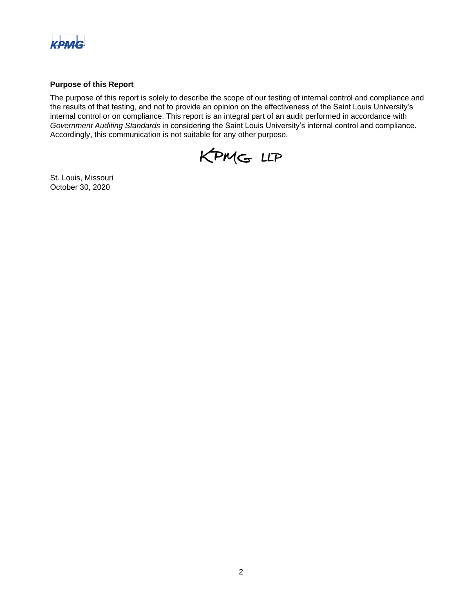

## **Purpose of this Report**

The purpose of this report is solely to describe the scope of our testing of internal control and compliance and the results of that testing, and not to provide an opinion on the effectiveness of the Saint Louis University's internal control or on compliance. This report is an integral part of an audit performed in accordance with *Government Auditing Standards* in considering the Saint Louis University's internal control and compliance. Accordingly, this communication is not suitable for any other purpose.



St. Louis, Missouri October 30, 2020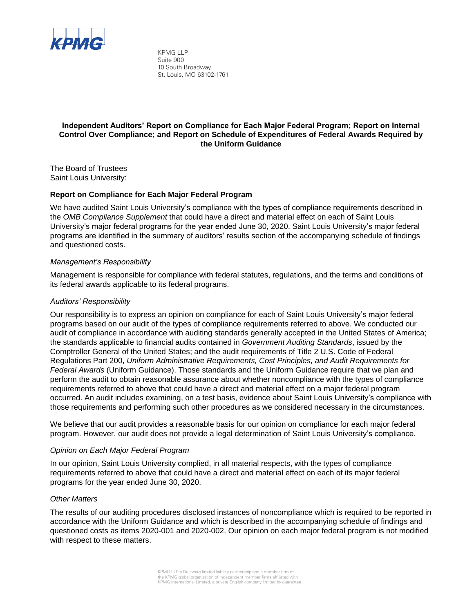

KPMG LLP Suite 900 10 South Broadway St. Louis, MO 63102-1761

# **Independent Auditors' Report on Compliance for Each Major Federal Program; Report on Internal Control Over Compliance; and Report on Schedule of Expenditures of Federal Awards Required by the Uniform Guidance**

The Board of Trustees Saint Louis University:

### **Report on Compliance for Each Major Federal Program**

We have audited Saint Louis University's compliance with the types of compliance requirements described in the *OMB Compliance Supplement* that could have a direct and material effect on each of Saint Louis University's major federal programs for the year ended June 30, 2020. Saint Louis University's major federal programs are identified in the summary of auditors' results section of the accompanying schedule of findings and questioned costs.

### *Management's Responsibility*

Management is responsible for compliance with federal statutes, regulations, and the terms and conditions of its federal awards applicable to its federal programs.

### *Auditors' Responsibility*

Our responsibility is to express an opinion on compliance for each of Saint Louis University's major federal programs based on our audit of the types of compliance requirements referred to above. We conducted our audit of compliance in accordance with auditing standards generally accepted in the United States of America; the standards applicable to financial audits contained in *Government Auditing Standards*, issued by the Comptroller General of the United States; and the audit requirements of Title 2 U.S. Code of Federal Regulations Part 200, *Uniform Administrative Requirements, Cost Principles, and Audit Requirements for Federal Awards* (Uniform Guidance). Those standards and the Uniform Guidance require that we plan and perform the audit to obtain reasonable assurance about whether noncompliance with the types of compliance requirements referred to above that could have a direct and material effect on a major federal program occurred. An audit includes examining, on a test basis, evidence about Saint Louis University's compliance with those requirements and performing such other procedures as we considered necessary in the circumstances.

We believe that our audit provides a reasonable basis for our opinion on compliance for each major federal program. However, our audit does not provide a legal determination of Saint Louis University's compliance.

# *Opinion on Each Major Federal Program*

In our opinion, Saint Louis University complied, in all material respects, with the types of compliance requirements referred to above that could have a direct and material effect on each of its major federal programs for the year ended June 30, 2020.

# *Other Matters*

The results of our auditing procedures disclosed instances of noncompliance which is required to be reported in accordance with the Uniform Guidance and which is described in the accompanying schedule of findings and questioned costs as items 2020-001 and 2020-002. Our opinion on each major federal program is not modified with respect to these matters.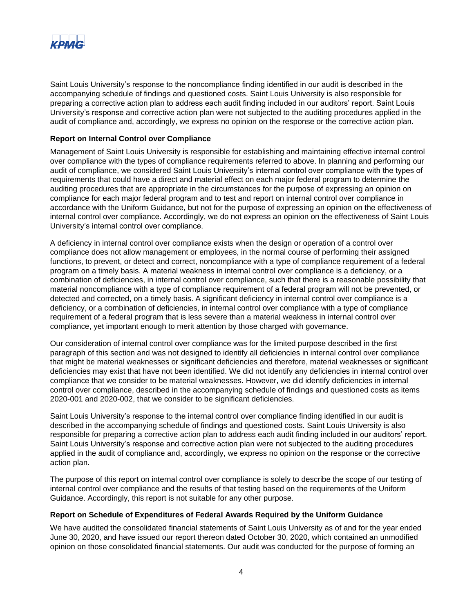

Saint Louis University's response to the noncompliance finding identified in our audit is described in the accompanying schedule of findings and questioned costs. Saint Louis University is also responsible for preparing a corrective action plan to address each audit finding included in our auditors' report. Saint Louis University's response and corrective action plan were not subjected to the auditing procedures applied in the audit of compliance and, accordingly, we express no opinion on the response or the corrective action plan.

### **Report on Internal Control over Compliance**

Management of Saint Louis University is responsible for establishing and maintaining effective internal control over compliance with the types of compliance requirements referred to above. In planning and performing our audit of compliance, we considered Saint Louis University's internal control over compliance with the types of requirements that could have a direct and material effect on each major federal program to determine the auditing procedures that are appropriate in the circumstances for the purpose of expressing an opinion on compliance for each major federal program and to test and report on internal control over compliance in accordance with the Uniform Guidance, but not for the purpose of expressing an opinion on the effectiveness of internal control over compliance. Accordingly, we do not express an opinion on the effectiveness of Saint Louis University's internal control over compliance.

A deficiency in internal control over compliance exists when the design or operation of a control over compliance does not allow management or employees, in the normal course of performing their assigned functions, to prevent, or detect and correct, noncompliance with a type of compliance requirement of a federal program on a timely basis. A material weakness in internal control over compliance is a deficiency, or a combination of deficiencies, in internal control over compliance, such that there is a reasonable possibility that material noncompliance with a type of compliance requirement of a federal program will not be prevented, or detected and corrected, on a timely basis. A significant deficiency in internal control over compliance is a deficiency, or a combination of deficiencies, in internal control over compliance with a type of compliance requirement of a federal program that is less severe than a material weakness in internal control over compliance, yet important enough to merit attention by those charged with governance.

Our consideration of internal control over compliance was for the limited purpose described in the first paragraph of this section and was not designed to identify all deficiencies in internal control over compliance that might be material weaknesses or significant deficiencies and therefore, material weaknesses or significant deficiencies may exist that have not been identified. We did not identify any deficiencies in internal control over compliance that we consider to be material weaknesses. However, we did identify deficiencies in internal control over compliance, described in the accompanying schedule of findings and questioned costs as items 2020-001 and 2020-002, that we consider to be significant deficiencies.

Saint Louis University's response to the internal control over compliance finding identified in our audit is described in the accompanying schedule of findings and questioned costs. Saint Louis University is also responsible for preparing a corrective action plan to address each audit finding included in our auditors' report. Saint Louis University's response and corrective action plan were not subjected to the auditing procedures applied in the audit of compliance and, accordingly, we express no opinion on the response or the corrective action plan.

The purpose of this report on internal control over compliance is solely to describe the scope of our testing of internal control over compliance and the results of that testing based on the requirements of the Uniform Guidance. Accordingly, this report is not suitable for any other purpose.

### **Report on Schedule of Expenditures of Federal Awards Required by the Uniform Guidance**

We have audited the consolidated financial statements of Saint Louis University as of and for the year ended June 30, 2020, and have issued our report thereon dated October 30, 2020, which contained an unmodified opinion on those consolidated financial statements. Our audit was conducted for the purpose of forming an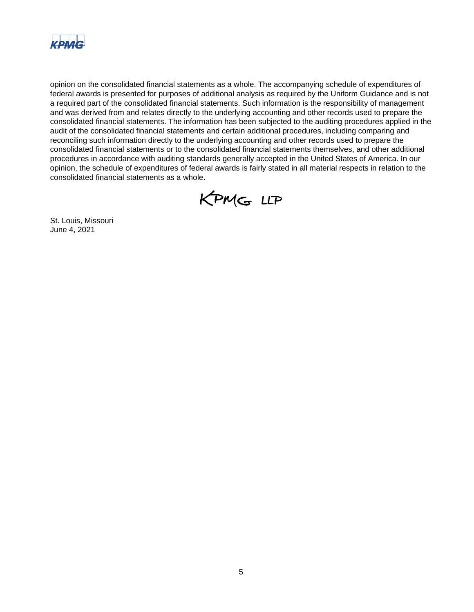

opinion on the consolidated financial statements as a whole. The accompanying schedule of expenditures of federal awards is presented for purposes of additional analysis as required by the Uniform Guidance and is not a required part of the consolidated financial statements. Such information is the responsibility of management and was derived from and relates directly to the underlying accounting and other records used to prepare the consolidated financial statements. The information has been subjected to the auditing procedures applied in the audit of the consolidated financial statements and certain additional procedures, including comparing and reconciling such information directly to the underlying accounting and other records used to prepare the consolidated financial statements or to the consolidated financial statements themselves, and other additional procedures in accordance with auditing standards generally accepted in the United States of America. In our opinion, the schedule of expenditures of federal awards is fairly stated in all material respects in relation to the consolidated financial statements as a whole.



St. Louis, Missouri June 4, 2021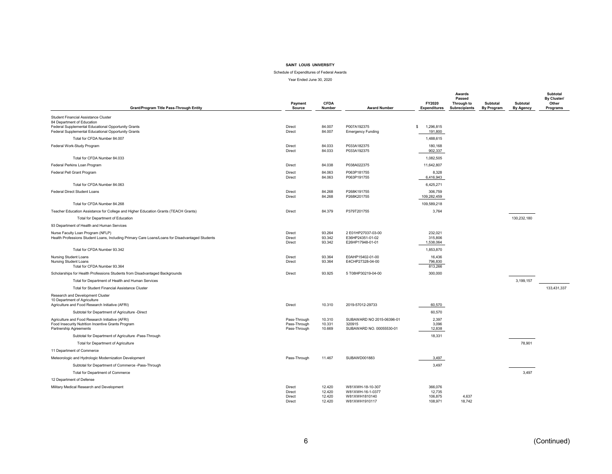Schedule of Expenditures of Federal Awards

| <b>Grant/Program Title Pass-Through Entity</b>                                                             | Payment<br>Source                    | <b>CFDA</b><br>Number      | <b>Award Number</b>                                                    | FY2020<br><b>Expenditures</b>           | Awards<br>Passed<br>Through to<br><b>Subrecipients</b> | Subtotal<br><b>By Program</b> | Subtotal<br><b>By Agency</b> | Subtotal<br>By Cluster/<br>Other<br>Programs |
|------------------------------------------------------------------------------------------------------------|--------------------------------------|----------------------------|------------------------------------------------------------------------|-----------------------------------------|--------------------------------------------------------|-------------------------------|------------------------------|----------------------------------------------|
| Student Financial Assistance Cluster                                                                       |                                      |                            |                                                                        |                                         |                                                        |                               |                              |                                              |
| 84 Department of Education                                                                                 |                                      |                            |                                                                        |                                         |                                                        |                               |                              |                                              |
| Federal Supplemental Educational Opportunity Grants<br>Federal Supplemental Educational Opportunity Grants | Direct<br>Direct                     | 84.007<br>84.007           | P007A192375<br><b>Emergency Funding</b>                                | \$<br>1,296,815<br>191,800              |                                                        |                               |                              |                                              |
| Total for CFDA Number 84.007                                                                               |                                      |                            |                                                                        | 1,488,615                               |                                                        |                               |                              |                                              |
| Federal Work-Study Program                                                                                 | Direct                               | 84.033                     | P033A182375                                                            | 180,168                                 |                                                        |                               |                              |                                              |
|                                                                                                            | Direct                               | 84.033                     | P033A192375                                                            | 902,337                                 |                                                        |                               |                              |                                              |
| Total for CFDA Number 84.033                                                                               |                                      |                            |                                                                        | 1,082,505                               |                                                        |                               |                              |                                              |
| Federal Perkins Loan Program                                                                               | Direct                               | 84.038                     | P038A022375                                                            | 11,642,807                              |                                                        |                               |                              |                                              |
| Federal Pell Grant Program                                                                                 | Direct<br>Direct                     | 84.063<br>84.063           | P063P181755<br>P063P191755                                             | 8.328<br>6,416,943                      |                                                        |                               |                              |                                              |
| Total for CFDA Number 84.063                                                                               |                                      |                            |                                                                        | 6,425,271                               |                                                        |                               |                              |                                              |
| <b>Federal Direct Student Loans</b>                                                                        | Direct                               | 84.268                     | P268K191755                                                            | 306,759                                 |                                                        |                               |                              |                                              |
|                                                                                                            | Direct                               | 84.268                     | P268K201755                                                            | 109,282,459                             |                                                        |                               |                              |                                              |
| Total for CFDA Number 84.268                                                                               |                                      |                            |                                                                        | 109,589,218                             |                                                        |                               |                              |                                              |
| Teacher Education Assistance for College and Higher Education Grants (TEACH Grants)                        | Direct                               | 84.379                     | P379T201755                                                            | 3,764                                   |                                                        |                               |                              |                                              |
| Total for Department of Education                                                                          |                                      |                            |                                                                        |                                         |                                                        |                               | 130,232,180                  |                                              |
| 93 Department of Health and Human Services                                                                 |                                      |                            |                                                                        |                                         |                                                        |                               |                              |                                              |
| Nurse Faculty Loan Program (NFLP)                                                                          | Direct                               | 93.264                     | 2 E01HP27037-03-00                                                     | 232,021                                 |                                                        |                               |                              |                                              |
| Health Professions Student Loans, Including Primary Care Loans/Loans for Disadvantaged Students            | Direct<br>Direct                     | 93.342<br>93.342           | E36HP24351-01-02<br>E26HP17948-01-01                                   | 315,806<br>1,538,064                    |                                                        |                               |                              |                                              |
| Total for CFDA Number 93.342                                                                               |                                      |                            |                                                                        | 1,853,870                               |                                                        |                               |                              |                                              |
| Nursing Student Loans                                                                                      | Direct                               | 93.364                     | E0AHP15402-01-00                                                       | 16,436                                  |                                                        |                               |                              |                                              |
| <b>Nursing Student Loans</b><br>Total for CFDA Number 93.364                                               | Direct                               | 93.364                     | E4CHP27328-04-00                                                       | 796,830<br>813,266                      |                                                        |                               |                              |                                              |
| Scholarships for Health Professions Students from Disadvantaged Backgrounds                                | Direct                               | 93.925                     | 5 T08HP30219-04-00                                                     | 300,000                                 |                                                        |                               |                              |                                              |
| Total for Department of Health and Human Services                                                          |                                      |                            |                                                                        |                                         |                                                        |                               | 3,199,157                    |                                              |
| Total for Student Financial Assistance Cluster                                                             |                                      |                            |                                                                        |                                         |                                                        |                               |                              | 133.431.337                                  |
| Research and Development Cluster                                                                           |                                      |                            |                                                                        |                                         |                                                        |                               |                              |                                              |
| 10 Department of Agriculture<br>Agriculture and Food Research Initiative (AFRI)                            | Direct                               | 10.310                     | 2019-57012-29733                                                       | 60,570                                  |                                                        |                               |                              |                                              |
| Subtotal for Department of Agriculture -Direct                                                             |                                      |                            |                                                                        | 60,570                                  |                                                        |                               |                              |                                              |
| Agriculture and Food Research Initiative (AFRI)                                                            | Pass-Through                         | 10.310                     | SUBAWARD NO 2015-06396-01                                              | 2,397                                   |                                                        |                               |                              |                                              |
| Food Insecurity Nutrition Incentive Grants Program                                                         | Pass-Through                         | 10.331                     | 320915                                                                 | 3,096                                   |                                                        |                               |                              |                                              |
| Partnership Agreements                                                                                     | Pass-Through                         | 10.669                     | SUBAWARD NO. 00055530-01                                               | 12,838                                  |                                                        |                               |                              |                                              |
| Subtotal for Department of Agriculture -Pass-Through                                                       |                                      |                            |                                                                        | 18,331                                  |                                                        |                               | 78,901                       |                                              |
| Total for Department of Agriculture<br>11 Department of Commerce                                           |                                      |                            |                                                                        |                                         |                                                        |                               |                              |                                              |
|                                                                                                            |                                      | 11.467                     | SUBAWD001883                                                           | 3,497                                   |                                                        |                               |                              |                                              |
| Meteorologic and Hydrologic Modernization Development<br>Subtotal for Department of Commerce -Pass-Through | Pass-Through                         |                            |                                                                        | 3,497                                   |                                                        |                               |                              |                                              |
| Total for Department of Commerce                                                                           |                                      |                            |                                                                        |                                         |                                                        |                               | 3,497                        |                                              |
| 12 Department of Defense                                                                                   |                                      |                            |                                                                        |                                         |                                                        |                               |                              |                                              |
|                                                                                                            |                                      | 12.420                     |                                                                        |                                         |                                                        |                               |                              |                                              |
| Military Medical Research and Development                                                                  | Direct<br>Direct<br>Direct<br>Direct | 12.420<br>12.420<br>12.420 | W81XWH-18-10-307<br>W81XWH-16-1-0377<br>W81XWH1810140<br>W81XWH1910117 | 366,076<br>12,735<br>106,875<br>108,971 | 4,637<br>18.742                                        |                               |                              |                                              |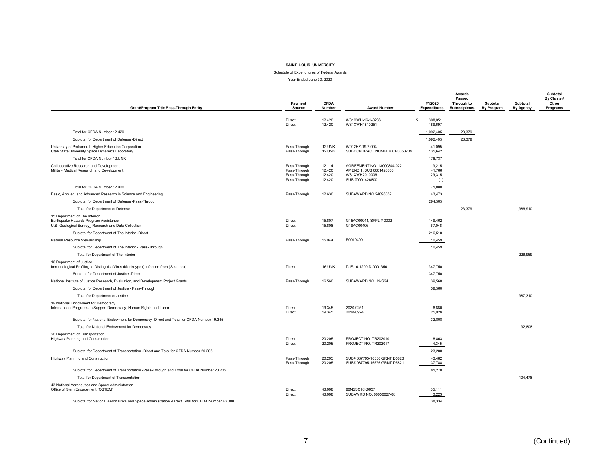Schedule of Expenditures of Federal Awards

| Grant/Program Title Pass-Through Entity                                                                                        | Payment<br>Source                                            | <b>CFDA</b><br>Number                | <b>Award Number</b>                                                                       | FY2020<br><b>Expenditures</b>    | Awards<br>Passed<br>Through to<br><b>Subrecipients</b> | <b>Subtotal</b><br><b>By Program</b> | Subtotal<br><b>By Agency</b> | <b>Subtotal</b><br>By Cluster/<br>Other<br>Programs |
|--------------------------------------------------------------------------------------------------------------------------------|--------------------------------------------------------------|--------------------------------------|-------------------------------------------------------------------------------------------|----------------------------------|--------------------------------------------------------|--------------------------------------|------------------------------|-----------------------------------------------------|
|                                                                                                                                | Direct                                                       | 12.420                               | W81XWH-16-1-0236                                                                          | \$.<br>308,051                   |                                                        |                                      |                              |                                                     |
|                                                                                                                                | Direct                                                       | 12.420                               | W81XWH1810251                                                                             | 189,697                          |                                                        |                                      |                              |                                                     |
| Total for CFDA Number 12.420                                                                                                   |                                                              |                                      |                                                                                           | 1,092,405                        | 23,379                                                 |                                      |                              |                                                     |
| Subtotal for Department of Defense -Direct                                                                                     |                                                              |                                      |                                                                                           | 1,092,405                        | 23,379                                                 |                                      |                              |                                                     |
| University of Portsmouth Higher Education Corporation<br>Utah State University Space Dynamics Laboratory                       | Pass-Through<br>Pass-Through                                 | 12.UNK<br>12.UNK                     | W912HZ-19-2-004<br>SUBCONTRACT NUMBER CP0053704                                           | 41,095<br>135,642                |                                                        |                                      |                              |                                                     |
| Total for CFDA Number 12.UNK                                                                                                   |                                                              |                                      |                                                                                           | 176,737                          |                                                        |                                      |                              |                                                     |
| Collaborative Research and Development<br>Military Medical Research and Development                                            | Pass-Through<br>Pass-Through<br>Pass-Through<br>Pass-Through | 12.114<br>12.420<br>12.420<br>12.420 | AGREEMENT NO. 13000844-022<br>AMEND 1, SUB 0001426800<br>W81XWH2010006<br>SUB #0001426800 | 3.215<br>41,766<br>29,315<br>(1) |                                                        |                                      |                              |                                                     |
| Total for CFDA Number 12.420                                                                                                   |                                                              |                                      |                                                                                           | 71,080                           |                                                        |                                      |                              |                                                     |
| Basic, Applied, and Advanced Research in Science and Engineering                                                               | Pass-Through                                                 | 12.630                               | SUBAWARD NO 24096052                                                                      | 43,473                           |                                                        |                                      |                              |                                                     |
| Subtotal for Department of Defense -Pass-Through                                                                               |                                                              |                                      |                                                                                           | 294,505                          |                                                        |                                      |                              |                                                     |
| Total for Department of Defense                                                                                                |                                                              |                                      |                                                                                           |                                  | 23,379                                                 |                                      | 1,386,910                    |                                                     |
| 15 Department of The Interior<br>Earthquake Hazards Program Assistance<br>U.S. Geological Survey_ Research and Data Collection | Direct<br>Direct                                             | 15.807<br>15.808                     | G15AC00041, SPPL # 0002<br>G19AC00406                                                     | 149.462<br>67,048                |                                                        |                                      |                              |                                                     |
| Subtotal for Department of The Interior -Direct                                                                                |                                                              |                                      |                                                                                           | 216,510                          |                                                        |                                      |                              |                                                     |
| Natural Resource Stewardship                                                                                                   | Pass-Through                                                 | 15.944                               | P0019499                                                                                  | 10,459                           |                                                        |                                      |                              |                                                     |
| Subtotal for Department of The Interior - Pass-Through                                                                         |                                                              |                                      |                                                                                           | 10,459                           |                                                        |                                      |                              |                                                     |
| Total for Department of The Interior                                                                                           |                                                              |                                      |                                                                                           |                                  |                                                        |                                      | 226.969                      |                                                     |
| 16 Department of Justice<br>Immunological Profiling to Distinguish Virus (Monkeypox) Infection from (Smallpox)                 | Direct                                                       | 16.UNK                               | DJF-16-1200-D-0001356                                                                     | 347,750                          |                                                        |                                      |                              |                                                     |
| Subtotal for Department of Justice -Direct                                                                                     |                                                              |                                      |                                                                                           | 347,750                          |                                                        |                                      |                              |                                                     |
| National Institute of Justice Research, Evaluation, and Development Project Grants                                             | Pass-Through                                                 | 16.560                               | SUBAWARD NO. 19-S24                                                                       | 39,560                           |                                                        |                                      |                              |                                                     |
| Subtotal for Department of Justice - Pass-Through                                                                              |                                                              |                                      |                                                                                           | 39,560                           |                                                        |                                      |                              |                                                     |
| Total for Department of Justice                                                                                                |                                                              |                                      |                                                                                           |                                  |                                                        |                                      | 387,310                      |                                                     |
| 19 National Endowment for Democracy<br>International Programs to Support Democracy, Human Rights and Labor                     | Direct<br>Direct                                             | 19.345<br>19.345                     | 2020-0251<br>2018-0924                                                                    | 6.880<br>25,928                  |                                                        |                                      |                              |                                                     |
| Subtotal for National Endowment for Democracy -Direct and Total for CFDA Number 19.345                                         |                                                              |                                      |                                                                                           | 32,808                           |                                                        |                                      |                              |                                                     |
| Total for National Endowment for Democracy                                                                                     |                                                              |                                      |                                                                                           |                                  |                                                        |                                      | 32,808                       |                                                     |
| 20 Department of Transportation<br>Highway Planning and Construction                                                           | Direct                                                       | 20.205                               | PROJECT NO. TR202010                                                                      | 18,863                           |                                                        |                                      |                              |                                                     |
|                                                                                                                                | Direct                                                       | 20.205                               | PROJECT NO. TR202017                                                                      | 4,345                            |                                                        |                                      |                              |                                                     |
| Subtotal for Department of Transportation -Direct and Total for CFDA Number 20.205                                             |                                                              |                                      |                                                                                           | 23,208                           |                                                        |                                      |                              |                                                     |
| Highway Planning and Construction                                                                                              | Pass-Through<br>Pass-Through                                 | 20.205<br>20.205                     | SUB# 087795-16556 GRNT D5823<br>SUB# 087795-16576 GRNT D5821                              | 43.482<br>37,788                 |                                                        |                                      |                              |                                                     |
| Subtotal for Department of Transportation -Pass-Through and Total for CFDA Number 20.205                                       |                                                              |                                      |                                                                                           | 81,270                           |                                                        |                                      |                              |                                                     |
| Total for Department of Transportation                                                                                         |                                                              |                                      |                                                                                           |                                  |                                                        |                                      | 104.478                      |                                                     |
| 43 National Aeronautics and Space Administration<br>Office of Stem Engagement (OSTEM)                                          | Direct<br>Direct                                             | 43.008<br>43.008                     | 80NSSC18K0637<br>SUBAWRD NO. 00050027-08                                                  | 35,111<br>3,223                  |                                                        |                                      |                              |                                                     |
| Subtotal for National Aeronautics and Space Administration -Direct Total for CFDA Number 43.008                                |                                                              |                                      |                                                                                           | 38.334                           |                                                        |                                      |                              |                                                     |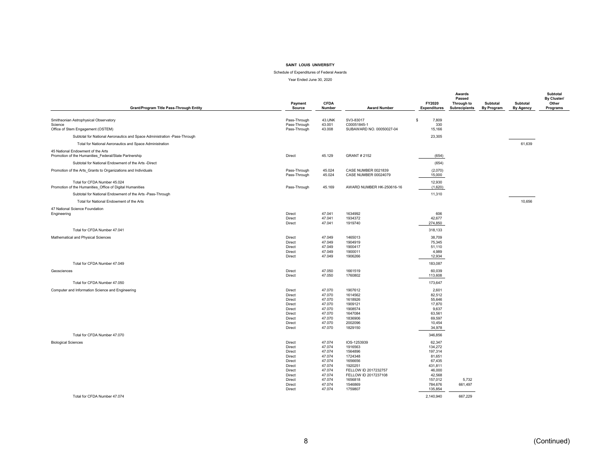Schedule of Expenditures of Federal Awards

| Grant/Program Title Pass-Through Entity                                                    | Payment<br>Source                                                                                          | <b>CFDA</b><br>Number                                                                                      | <b>Award Number</b>                                                                                                                                 | FY2020<br><b>Expenditures</b>                                                                                    | Awards<br>Passed<br>Through to<br><b>Subrecipients</b> | <b>Subtotal</b><br><b>By Program</b> | Subtotal<br><b>By Agency</b> | Subtotal<br>By Cluster/<br>Other<br>Programs |
|--------------------------------------------------------------------------------------------|------------------------------------------------------------------------------------------------------------|------------------------------------------------------------------------------------------------------------|-----------------------------------------------------------------------------------------------------------------------------------------------------|------------------------------------------------------------------------------------------------------------------|--------------------------------------------------------|--------------------------------------|------------------------------|----------------------------------------------|
|                                                                                            |                                                                                                            |                                                                                                            |                                                                                                                                                     |                                                                                                                  |                                                        |                                      |                              |                                              |
| Smithsonian Astrophysical Observatory<br>Science                                           | Pass-Through<br>Pass-Through                                                                               | 43.UNK<br>43.001                                                                                           | SV3-83017<br>C00051845-1                                                                                                                            | $\mathbf{s}$<br>7,809<br>330                                                                                     |                                                        |                                      |                              |                                              |
| Office of Stem Engagement (OSTEM)                                                          | Pass-Through                                                                                               | 43.008                                                                                                     | SUBAWARD NO. 00050027-04                                                                                                                            | 15,166                                                                                                           |                                                        |                                      |                              |                                              |
| Subtotal for National Aeronautics and Space Administration -Pass-Through                   |                                                                                                            |                                                                                                            |                                                                                                                                                     | 23,305                                                                                                           |                                                        |                                      |                              |                                              |
| Total for National Aeronautics and Space Administration                                    |                                                                                                            |                                                                                                            |                                                                                                                                                     |                                                                                                                  |                                                        |                                      | 61,639                       |                                              |
| 45 National Endowment of the Arts<br>Promotion of the Humanities Federal/State Partnership | Direct                                                                                                     | 45.129                                                                                                     | <b>GRANT #2152</b>                                                                                                                                  | (654)                                                                                                            |                                                        |                                      |                              |                                              |
| Subtotal for National Endowment of the Arts -Direct                                        |                                                                                                            |                                                                                                            |                                                                                                                                                     | (654)                                                                                                            |                                                        |                                      |                              |                                              |
| Promotion of the Arts_Grants to Organizations and Individuals                              | Pass-Through<br>Pass-Through                                                                               | 45.024<br>45.024                                                                                           | CASE NUMBER 0021839<br>CASE NUMBER 00024079                                                                                                         | (2,070)<br>15,000                                                                                                |                                                        |                                      |                              |                                              |
| Total for CFDA Number 45.024<br>Promotion of the Humanities Office of Digital Humanities   | Pass-Through                                                                                               | 45.169                                                                                                     | AWARD NUMBER HK-250616-16                                                                                                                           | 12,930<br>(1,620)                                                                                                |                                                        |                                      |                              |                                              |
| Subtotal for National Endowment of the Arts -Pass-Through                                  |                                                                                                            |                                                                                                            |                                                                                                                                                     | 11,310                                                                                                           |                                                        |                                      |                              |                                              |
| Total for National Endowment of the Arts                                                   |                                                                                                            |                                                                                                            |                                                                                                                                                     |                                                                                                                  |                                                        |                                      | 10,656                       |                                              |
| 47 National Science Foundation<br>Engineering                                              | Direct<br>Direct<br>Direct                                                                                 | 47.041<br>47.041<br>47.041                                                                                 | 1634992<br>1934372<br>1919740                                                                                                                       | 606<br>42,677<br>274,850                                                                                         |                                                        |                                      |                              |                                              |
| Total for CFDA Number 47.041                                                               |                                                                                                            |                                                                                                            |                                                                                                                                                     | 318,133                                                                                                          |                                                        |                                      |                              |                                              |
| Mathematical and Physical Sciences                                                         | Direct<br>Direct<br>Direct<br>Direct<br>Direct                                                             | 47.049<br>47.049<br>47.049<br>47.049<br>47.049                                                             | 1465013<br>1904919<br>1900417<br>1900011<br>1906266                                                                                                 | 38,709<br>75,345<br>51,110<br>4,989<br>12,934                                                                    |                                                        |                                      |                              |                                              |
| Total for CFDA Number 47.049                                                               |                                                                                                            |                                                                                                            |                                                                                                                                                     | 183,087                                                                                                          |                                                        |                                      |                              |                                              |
| Geosciences                                                                                | Direct<br>Direct                                                                                           | 47.050<br>47.050                                                                                           | 1661519<br>1760802                                                                                                                                  | 60.039<br>113,608                                                                                                |                                                        |                                      |                              |                                              |
| Total for CFDA Number 47.050                                                               |                                                                                                            |                                                                                                            |                                                                                                                                                     | 173,647                                                                                                          |                                                        |                                      |                              |                                              |
| Computer and Information Science and Engineering                                           | Direct<br>Direct<br>Direct<br>Direct<br>Direct<br>Direct<br>Direct<br>Direct<br>Direct                     | 47.070<br>47.070<br>47.070<br>47.070<br>47.070<br>47.070<br>47.070<br>47.070<br>47.070                     | 1907612<br>1614562<br>1618926<br>1909121<br>1908574<br>1647084<br>1836906<br>2002096<br>1829150                                                     | 2,601<br>82,512<br>55,646<br>17,870<br>9,637<br>63,561<br>69,597<br>10,454<br>34,978                             |                                                        |                                      |                              |                                              |
| Total for CFDA Number 47.070                                                               |                                                                                                            |                                                                                                            |                                                                                                                                                     | 346,856                                                                                                          |                                                        |                                      |                              |                                              |
| <b>Biological Sciences</b>                                                                 | Direct<br>Direct<br>Direct<br>Direct<br>Direct<br>Direct<br>Direct<br>Direct<br>Direct<br>Direct<br>Direct | 47.074<br>47.074<br>47.074<br>47.074<br>47.074<br>47.074<br>47.074<br>47.074<br>47.074<br>47.074<br>47.074 | IOS-1253939<br>1916563<br>1564896<br>1724348<br>1656656<br>1920251<br>FELLOW ID 2017232757<br>FELLOW ID 2017237108<br>1656818<br>1546869<br>1759807 | 62.347<br>134,272<br>197,314<br>81,651<br>67,435<br>431,811<br>46,000<br>42,568<br>157,012<br>784,676<br>135.854 | 5,732<br>661,497                                       |                                      |                              |                                              |
| Total for CFDA Number 47.074                                                               |                                                                                                            |                                                                                                            |                                                                                                                                                     | 2.140.940                                                                                                        | 667,229                                                |                                      |                              |                                              |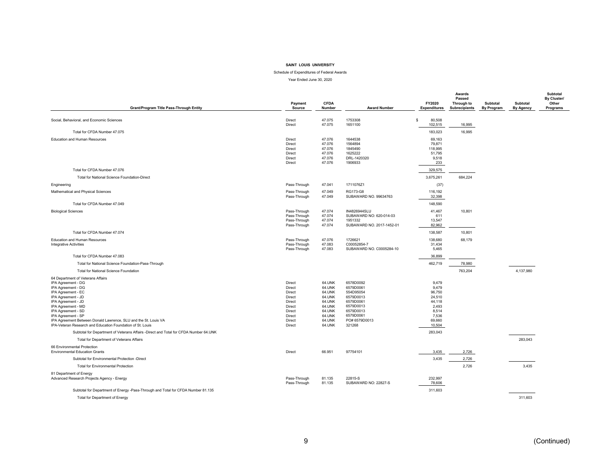Schedule of Expenditures of Federal Awards

| <b>Grant/Program Title Pass-Through Entity</b>                                                                                                                                                                                                                                                                                                     | Payment<br>Source                                                                                | <b>CFDA</b><br>Number                                                                            | <b>Award Number</b>                                                                                                             | FY2020<br><b>Expenditures</b>                                                               | Awards<br>Passed<br>Through to<br><b>Subrecipients</b> | <b>Subtotal</b><br><b>By Program</b> | Subtotal<br><b>By Agency</b> | Subtotal<br>By Cluster/<br>Other<br>Programs |
|----------------------------------------------------------------------------------------------------------------------------------------------------------------------------------------------------------------------------------------------------------------------------------------------------------------------------------------------------|--------------------------------------------------------------------------------------------------|--------------------------------------------------------------------------------------------------|---------------------------------------------------------------------------------------------------------------------------------|---------------------------------------------------------------------------------------------|--------------------------------------------------------|--------------------------------------|------------------------------|----------------------------------------------|
|                                                                                                                                                                                                                                                                                                                                                    |                                                                                                  |                                                                                                  |                                                                                                                                 |                                                                                             |                                                        |                                      |                              |                                              |
| Social, Behavioral, and Economic Sciences                                                                                                                                                                                                                                                                                                          | Direct<br>Direct                                                                                 | 47.075<br>47.075                                                                                 | 1753308<br>1651100                                                                                                              | <sup>\$</sup><br>80,508<br>102,515                                                          | 16,995                                                 |                                      |                              |                                              |
| Total for CFDA Number 47.075                                                                                                                                                                                                                                                                                                                       |                                                                                                  |                                                                                                  |                                                                                                                                 | 183,023                                                                                     | 16,995                                                 |                                      |                              |                                              |
| <b>Education and Human Resources</b>                                                                                                                                                                                                                                                                                                               | Direct                                                                                           | 47.076                                                                                           | 1644538                                                                                                                         | 69.163                                                                                      |                                                        |                                      |                              |                                              |
|                                                                                                                                                                                                                                                                                                                                                    | Direct<br>Direct<br>Direct<br>Direct<br>Direct                                                   | 47.076<br>47.076<br>47.076<br>47.076<br>47.076                                                   | 1564894<br>1845490<br>1625222<br>DRL-1420320<br>1906933                                                                         | 79,871<br>118,995<br>51,795<br>9,518<br>233                                                 |                                                        |                                      |                              |                                              |
| Total for CFDA Number 47.076                                                                                                                                                                                                                                                                                                                       |                                                                                                  |                                                                                                  |                                                                                                                                 | 329,575                                                                                     |                                                        |                                      |                              |                                              |
| Total for National Science Foundation-Direct                                                                                                                                                                                                                                                                                                       |                                                                                                  |                                                                                                  |                                                                                                                                 | 3,675,261                                                                                   | 684.224                                                |                                      |                              |                                              |
| Engineering                                                                                                                                                                                                                                                                                                                                        | Pass-Through                                                                                     | 47.041                                                                                           | 1711076Z1                                                                                                                       | (37)                                                                                        |                                                        |                                      |                              |                                              |
| Mathematical and Physical Sciences                                                                                                                                                                                                                                                                                                                 | Pass-Through<br>Pass-Through                                                                     | 47.049<br>47.049                                                                                 | RG173-G8<br>SUBAWARD NO. 99634763                                                                                               | 116,192<br>32,398                                                                           |                                                        |                                      |                              |                                              |
| Total for CFDA Number 47.049                                                                                                                                                                                                                                                                                                                       |                                                                                                  |                                                                                                  |                                                                                                                                 | 148,590                                                                                     |                                                        |                                      |                              |                                              |
| <b>Biological Sciences</b>                                                                                                                                                                                                                                                                                                                         | Pass-Through<br>Pass-Through<br>Pass-Through<br>Pass-Through                                     | 47.074<br>47.074<br>47.074<br>47.074                                                             | IN4826944SLU<br>SUBAWARD NO: 620-014-03<br>1951332<br>SUBAWARD NO. 2017-1452-01                                                 | 41,467<br>611<br>13,547<br>82,962                                                           | 10,801                                                 |                                      |                              |                                              |
| Total for CFDA Number 47.074                                                                                                                                                                                                                                                                                                                       |                                                                                                  |                                                                                                  |                                                                                                                                 | 138,587                                                                                     | 10,801                                                 |                                      |                              |                                              |
| Education and Human Resources<br><b>Integrative Activities</b>                                                                                                                                                                                                                                                                                     | Pass-Through<br>Pass-Through<br>Pass-Through                                                     | 47.076<br>47.083<br>47.083                                                                       | 1726621<br>C00052854-7<br>SUBAWARD NO. C0005284-10                                                                              | 138,680<br>31,434<br>5,465                                                                  | 68,179                                                 |                                      |                              |                                              |
| Total for CFDA Number 47,083                                                                                                                                                                                                                                                                                                                       |                                                                                                  |                                                                                                  |                                                                                                                                 | 36,899                                                                                      |                                                        |                                      |                              |                                              |
| Total for National Science Foundation-Pass-Through                                                                                                                                                                                                                                                                                                 |                                                                                                  |                                                                                                  |                                                                                                                                 | 462,719                                                                                     | 78,980                                                 |                                      |                              |                                              |
| Total for National Science Foundation                                                                                                                                                                                                                                                                                                              |                                                                                                  |                                                                                                  |                                                                                                                                 |                                                                                             | 763,204                                                |                                      | 4,137,980                    |                                              |
| 64 Department of Veterans Affairs<br>IPA Agreement - DG<br>IPA Agreement - DG<br>IPA Agreement - EC<br>IPA Agreement - JD<br>IPA Agreement - JD<br>IPA Agreement - MD<br>IPA Agreement - SD<br>IPA Agreement - SP<br>IPA Agreement Between Donald Lawrence, SLU and the St. Louis VA<br>IPA-Veteran Research and Education Foundation of St. Louis | Direct<br>Direct<br>Direct<br>Direct<br>Direct<br>Direct<br>Direct<br>Direct<br>Direct<br>Direct | 64.UNK<br>64.UNK<br>64.UNK<br>64.UNK<br>64.UNK<br>64.UNK<br>64.UNK<br>64.UNK<br>64.UNK<br>64.UNK | 6578D0092<br>6579D0061<br>554D95054<br>6579D0013<br>6579D0061<br>6579D0013<br>6579D0013<br>6579D0061<br>PO# 6579D0013<br>321268 | 9,479<br>9.479<br>96,750<br>24,510<br>44,118<br>2,493<br>8.514<br>7,536<br>69,660<br>10,504 |                                                        |                                      |                              |                                              |
| Subtotal for Department of Veterans Affairs -Direct and Total for CFDA Number 64.UNK                                                                                                                                                                                                                                                               |                                                                                                  |                                                                                                  |                                                                                                                                 | 283,043                                                                                     |                                                        |                                      |                              |                                              |
| Total for Department of Veterans Affairs                                                                                                                                                                                                                                                                                                           |                                                                                                  |                                                                                                  |                                                                                                                                 |                                                                                             |                                                        |                                      | 283,043                      |                                              |
| 66 Environmental Protection<br><b>Environmental Education Grants</b>                                                                                                                                                                                                                                                                               | Direct                                                                                           | 66.951                                                                                           | 97754101                                                                                                                        | 3,435                                                                                       | 2,726                                                  |                                      |                              |                                              |
| Subtotal for Environmental Protection -Direct                                                                                                                                                                                                                                                                                                      |                                                                                                  |                                                                                                  |                                                                                                                                 | 3,435                                                                                       | 2,726                                                  |                                      |                              |                                              |
| <b>Total for Environmental Protection</b>                                                                                                                                                                                                                                                                                                          |                                                                                                  |                                                                                                  |                                                                                                                                 |                                                                                             | 2,726                                                  |                                      | 3,435                        |                                              |
| 81 Department of Energy<br>Advanced Research Projects Agency - Energy                                                                                                                                                                                                                                                                              | Pass-Through<br>Pass-Through                                                                     | 81.135<br>81.135                                                                                 | 22815-S<br>SUBAWARD NO: 22827-S                                                                                                 | 232.997<br>78,606                                                                           |                                                        |                                      |                              |                                              |
| Subtotal for Department of Energy -Pass-Through and Total for CFDA Number 81.135                                                                                                                                                                                                                                                                   |                                                                                                  |                                                                                                  |                                                                                                                                 | 311,603                                                                                     |                                                        |                                      |                              |                                              |
| Total for Department of Energy                                                                                                                                                                                                                                                                                                                     |                                                                                                  |                                                                                                  |                                                                                                                                 |                                                                                             |                                                        |                                      | 311.603                      |                                              |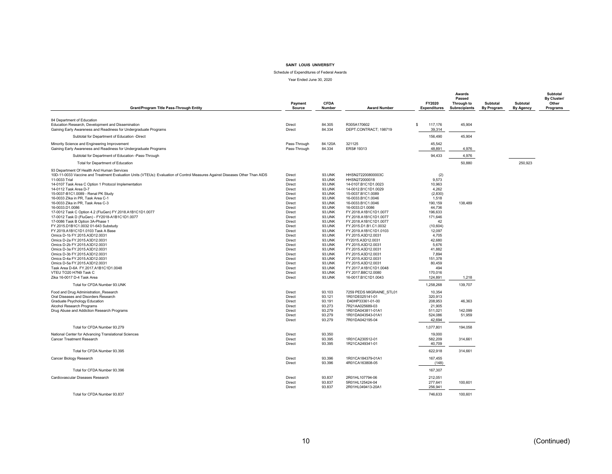Schedule of Expenditures of Federal Awards

| <b>Grant/Program Title Pass-Through Entity</b>                                                                                                                                                                                                                                                                                                                                                                                                                                                                                                                                                                                                                                                                                                  | Payment<br>Source                                                                                                                                            | <b>CFDA</b><br>Number                                                                                                                                        | <b>Award Number</b>                                                                                                                                                                                                                                                                                                                                              | FY2020<br><b>Expenditures</b>                                                                                                                           | Awards<br>Passed<br>Through to<br><b>Subrecipients</b> | Subtotal<br><b>By Program</b> | <b>Subtotal</b><br><b>By Agency</b> | Subtotal<br><b>By Cluster/</b><br>Other<br>Programs |
|-------------------------------------------------------------------------------------------------------------------------------------------------------------------------------------------------------------------------------------------------------------------------------------------------------------------------------------------------------------------------------------------------------------------------------------------------------------------------------------------------------------------------------------------------------------------------------------------------------------------------------------------------------------------------------------------------------------------------------------------------|--------------------------------------------------------------------------------------------------------------------------------------------------------------|--------------------------------------------------------------------------------------------------------------------------------------------------------------|------------------------------------------------------------------------------------------------------------------------------------------------------------------------------------------------------------------------------------------------------------------------------------------------------------------------------------------------------------------|---------------------------------------------------------------------------------------------------------------------------------------------------------|--------------------------------------------------------|-------------------------------|-------------------------------------|-----------------------------------------------------|
|                                                                                                                                                                                                                                                                                                                                                                                                                                                                                                                                                                                                                                                                                                                                                 |                                                                                                                                                              |                                                                                                                                                              |                                                                                                                                                                                                                                                                                                                                                                  |                                                                                                                                                         |                                                        |                               |                                     |                                                     |
| 84 Department of Education<br>Education Research, Development and Dissemination<br>Gaining Early Awareness and Readiness for Undergraduate Programs                                                                                                                                                                                                                                                                                                                                                                                                                                                                                                                                                                                             | Direct<br>Direct                                                                                                                                             | 84.305<br>84.334                                                                                                                                             | R305A170602<br>DEPT.CONTRACT: 198719                                                                                                                                                                                                                                                                                                                             | s<br>117,176<br>39.314                                                                                                                                  | 45,904                                                 |                               |                                     |                                                     |
| Subtotal for Department of Education -Direct                                                                                                                                                                                                                                                                                                                                                                                                                                                                                                                                                                                                                                                                                                    |                                                                                                                                                              |                                                                                                                                                              |                                                                                                                                                                                                                                                                                                                                                                  | 156,490                                                                                                                                                 | 45.904                                                 |                               |                                     |                                                     |
| Minority Science and Engineering Improvement                                                                                                                                                                                                                                                                                                                                                                                                                                                                                                                                                                                                                                                                                                    | Pass-Through                                                                                                                                                 | 84.120A                                                                                                                                                      | 321125                                                                                                                                                                                                                                                                                                                                                           | 45.542                                                                                                                                                  |                                                        |                               |                                     |                                                     |
| Gaining Early Awareness and Readiness for Undergraduate Programs                                                                                                                                                                                                                                                                                                                                                                                                                                                                                                                                                                                                                                                                                | Pass-Through                                                                                                                                                 | 84.334                                                                                                                                                       | ERS# 19313                                                                                                                                                                                                                                                                                                                                                       | 48,891                                                                                                                                                  | 4,976                                                  |                               |                                     |                                                     |
| Subtotal for Department of Education -Pass-Through                                                                                                                                                                                                                                                                                                                                                                                                                                                                                                                                                                                                                                                                                              |                                                                                                                                                              |                                                                                                                                                              |                                                                                                                                                                                                                                                                                                                                                                  | 94,433                                                                                                                                                  | 4,976                                                  |                               |                                     |                                                     |
| Total for Department of Education                                                                                                                                                                                                                                                                                                                                                                                                                                                                                                                                                                                                                                                                                                               |                                                                                                                                                              |                                                                                                                                                              |                                                                                                                                                                                                                                                                                                                                                                  |                                                                                                                                                         | 50,880                                                 |                               | 250,923                             |                                                     |
| 93 Department Of Health And Human Services<br>10D-11-0033 Vaccine and Treatment Evaluation Units (VTEUs): Evaluation of Control Measures Against Diseases Other Than AIDS<br>11-0033 Trial<br>14-0107 Task Area C Option 1 Protocol Implementation<br>14-0112 Task Area D-7<br>15-0037-B1C1.0089 - Renal PK Study<br>16-0033 Zlka in PR, Task Area C-1<br>16-0033 Zika in PR, Task Area C-3<br>16-0033.D1.0086<br>17-0012 Task C Option 4.2 (FluGen) FY.2018.A1B1C1D1.0077<br>17-0012 Task D (FluGen) - FY2018-A1B1C1D1.0077<br>17-0086 Task B Option 3A-Phase 1<br>FY.2015.D1B1C1.0032 01-643 Substudy<br>FY.2019.A1B1C1D1.0103 Task A Base<br>Omics D-1b FY.2015.A3D12.0031<br>Omics D-2a FY.2015.A3D12.0031<br>Omics D-2b FY.2015.A3D12.0031 | Direct<br>Direct<br>Direct<br>Direct<br>Direct<br>Direct<br>Direct<br>Direct<br>Direct<br>Direct<br>Direct<br>Direct<br>Direct<br>Direct<br>Direct<br>Direct | 93.UNK<br>93.UNK<br>93.UNK<br>93.UNK<br>93.UNK<br>93.UNK<br>93.UNK<br>93.UNK<br>93.UNK<br>93.UNK<br>93.UNK<br>93.UNK<br>93.UNK<br>93.UNK<br>93.UNK<br>93.UNK | HHSN272200800003C<br>HHSN272000018<br>14-0107.B1C1D1.0023<br>14-0012.B1C1D1.0029<br>15-0037.B1C1.0089<br>16-0033.B1C1.0046<br>16-0033.B1C1.0046<br>16-0033.D1.0086<br>FY.2018.A1B1C1D1.0077<br>FY.2018.A1B1C1D1.0077<br>FY.2018.A1B1C1D1.0077<br>FY.2015.D1.B1.C1.0032<br>FY.2019.A1B1C1D1.0103<br>FY.2015.A3D12.0031<br>FY2015.A3D12.0031<br>FY.2015.A3D12.0031 | (2)<br>9.573<br>10,963<br>4,262<br>(2,830)<br>1,518<br>190,159<br>44,736<br>196,633<br>171,646<br>42<br>(10, 604)<br>12,097<br>4,705<br>42,680<br>5,676 | 138,489                                                |                               |                                     |                                                     |
| Omics D-3a FY.2015.A3D12.0031<br>Omics D-3b FY.2015.A3D12.0031<br>Omics D-4a FY.2015.A3D12.0031<br>Omics D-5a FY.2015.A3D12.0031<br>Task Area D-6A FY.2017.A1B1C1D1.0048<br>VTEU TO20 H7N9 Task C<br>Zika 16-0017 D-4 Task Area<br>Total for CFDA Number 93.UNK                                                                                                                                                                                                                                                                                                                                                                                                                                                                                 | Direct<br>Direct<br>Direct<br>Direct<br>Direct<br>Direct<br>Direct                                                                                           | 93.UNK<br>93.UNK<br>93.UNK<br>93.UNK<br>93.UNK<br>93.UNK<br>93.UNK                                                                                           | FY.2015.A3D12.0031<br>FY.2015.A3D12.0031<br>FY.2015.A3D12.0031<br>FY.2015.A3D12.0031<br>FY.2017.A1B1C1D1.0048<br>FY.2017.B8C12.0080<br>16-0017.B1C1D1.0043                                                                                                                                                                                                       | 41.882<br>7,894<br>151,378<br>80,459<br>494<br>170,016<br>124,891<br>1,258,268                                                                          | 1,218<br>139,707                                       |                               |                                     |                                                     |
| Food and Drug Administration Research                                                                                                                                                                                                                                                                                                                                                                                                                                                                                                                                                                                                                                                                                                           | Direct                                                                                                                                                       | 93.103                                                                                                                                                       | 7259 PEDS MIGRAINE_STL01                                                                                                                                                                                                                                                                                                                                         | 10,354                                                                                                                                                  |                                                        |                               |                                     |                                                     |
| Oral Diseases and Disorders Research<br>Graduate Psychology Education<br>Alcohol Research Programs<br>Drug Abuse and Addiction Research Programs                                                                                                                                                                                                                                                                                                                                                                                                                                                                                                                                                                                                | Direct<br>Direct<br>Direct<br>Direct<br>Direct<br>Direct                                                                                                     | 93.121<br>93.191<br>93.273<br>93.279<br>93.279<br>93.279                                                                                                     | 1R01DE025141-01<br>D40HP33361-01-00<br>7R21AA025689-03<br>1R01DA043811-01A1<br>1R01DA043543-01A1<br>7R01DA042195-04                                                                                                                                                                                                                                              | 320,913<br>208,953<br>21.905<br>511,021<br>524,086<br>42,694                                                                                            | 46,363<br>142,099<br>51,959                            |                               |                                     |                                                     |
| Total for CFDA Number 93.279                                                                                                                                                                                                                                                                                                                                                                                                                                                                                                                                                                                                                                                                                                                    |                                                                                                                                                              |                                                                                                                                                              |                                                                                                                                                                                                                                                                                                                                                                  | 1,077,801                                                                                                                                               | 194,058                                                |                               |                                     |                                                     |
| National Center for Advancing Translational Sciences<br><b>Cancer Treatment Research</b>                                                                                                                                                                                                                                                                                                                                                                                                                                                                                                                                                                                                                                                        | Direct<br>Direct<br>Direct                                                                                                                                   | 93.350<br>93.395<br>93.395                                                                                                                                   | 1R01CA230512-01<br>1R21CA249341-01                                                                                                                                                                                                                                                                                                                               | 19,000<br>582,209<br>40,709                                                                                                                             | 314,661                                                |                               |                                     |                                                     |
| Total for CFDA Number 93.395                                                                                                                                                                                                                                                                                                                                                                                                                                                                                                                                                                                                                                                                                                                    |                                                                                                                                                              |                                                                                                                                                              |                                                                                                                                                                                                                                                                                                                                                                  | 622,918                                                                                                                                                 | 314,661                                                |                               |                                     |                                                     |
| Cancer Biology Research                                                                                                                                                                                                                                                                                                                                                                                                                                                                                                                                                                                                                                                                                                                         | Direct<br>Direct                                                                                                                                             | 93.396<br>93.396                                                                                                                                             | 1R01CA184379-01A1<br>4R01CA163808-05                                                                                                                                                                                                                                                                                                                             | 167,455<br>(148)                                                                                                                                        |                                                        |                               |                                     |                                                     |
| Total for CFDA Number 93,396                                                                                                                                                                                                                                                                                                                                                                                                                                                                                                                                                                                                                                                                                                                    |                                                                                                                                                              |                                                                                                                                                              |                                                                                                                                                                                                                                                                                                                                                                  | 167,307                                                                                                                                                 |                                                        |                               |                                     |                                                     |
| Cardiovascular Diseases Research                                                                                                                                                                                                                                                                                                                                                                                                                                                                                                                                                                                                                                                                                                                | Direct<br>Direct<br>Direct                                                                                                                                   | 93.837<br>93.837<br>93.837                                                                                                                                   | 2R01HL107794-06<br>5R01HL125424-04<br>2R01HL049413-20A1                                                                                                                                                                                                                                                                                                          | 212,051<br>277,641<br>256,941                                                                                                                           | 100,601                                                |                               |                                     |                                                     |
| Total for CFDA Number 93.837                                                                                                                                                                                                                                                                                                                                                                                                                                                                                                                                                                                                                                                                                                                    |                                                                                                                                                              |                                                                                                                                                              |                                                                                                                                                                                                                                                                                                                                                                  | 746,633                                                                                                                                                 | 100,601                                                |                               |                                     |                                                     |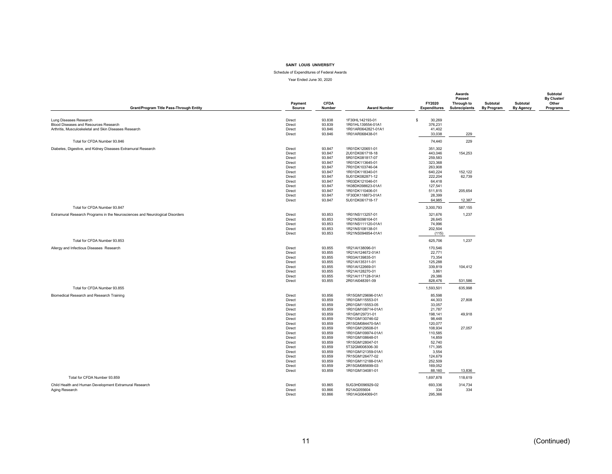Schedule of Expenditures of Federal Awards

|                                                                              |                  |                  |                                      |                     | Awards<br>Passed     |                   |                  | Subtotal<br>By Cluster/ |
|------------------------------------------------------------------------------|------------------|------------------|--------------------------------------|---------------------|----------------------|-------------------|------------------|-------------------------|
|                                                                              | Payment          | <b>CFDA</b>      |                                      | FY2020              | Through to           | Subtotal          | Subtotal         | Other                   |
| <b>Grant/Program Title Pass-Through Entity</b>                               | Source           | Number           | <b>Award Number</b>                  | <b>Expenditures</b> | <b>Subrecipients</b> | <b>By Program</b> | <b>By Agency</b> | Programs                |
| Lung Diseases Research                                                       | Direct           | 93.838           | 1F30HL142193-01                      | 30.269<br>-S        |                      |                   |                  |                         |
| Blood Diseases and Resources Research                                        | Direct           | 93.839           | 1R01HL139554-01A1                    | 376,231             |                      |                   |                  |                         |
| Arthritis, Musculoskeletal and Skin Diseases Research                        | Direct           | 93.846           | 1R01AR0642821-01A1                   | 41,402              |                      |                   |                  |                         |
|                                                                              | Direct           | 93.846           | 1R01AR068438-01                      | 33,038              | 229                  |                   |                  |                         |
| Total for CFDA Number 93.846                                                 |                  |                  |                                      | 74,440              | 229                  |                   |                  |                         |
|                                                                              |                  |                  |                                      |                     |                      |                   |                  |                         |
| Diabetes, Digestive, and Kidney Diseases Extramural Research                 | Direct           | 93.847           | 1R01DK120651-01                      | 351,302             |                      |                   |                  |                         |
|                                                                              | Direct           | 93.847           | 2U01DK061718-18                      | 443,046             | 154,253              |                   |                  |                         |
|                                                                              | Direct           | 93.847           | 5R01DK081817-07                      | 259,583             |                      |                   |                  |                         |
|                                                                              | Direct           | 93.847           | 1R01DK113645-01                      | 323,368             |                      |                   |                  |                         |
|                                                                              | Direct           | 93.847           | 7R01DK103746-04                      | 263,908             |                      |                   |                  |                         |
|                                                                              | Direct           | 93.847           | 1R01DK118340-01                      | 640,224             | 152,122              |                   |                  |                         |
|                                                                              | Direct           | 93.847           | 5U01DK082871-12                      | 222,204             | 62,739               |                   |                  |                         |
|                                                                              | Direct           | 93.847           | 1R03DK121046-01                      | 64,418              |                      |                   |                  |                         |
|                                                                              | Direct           | 93.847           | 1K08DK098623-01A1                    | 127,541             |                      |                   |                  |                         |
|                                                                              | Direct           | 93.847<br>93.847 | 1R01DK110406-01                      | 511,815<br>28,399   | 205,654              |                   |                  |                         |
|                                                                              | Direct<br>Direct | 93.847           | 1F30DK118873-01A1<br>5U01DK061718-17 | 64,985              | 12,387               |                   |                  |                         |
|                                                                              |                  |                  |                                      |                     |                      |                   |                  |                         |
| Total for CFDA Number 93.847                                                 |                  |                  |                                      | 3,300,793           | 587,155              |                   |                  |                         |
| Extramural Research Programs in the Neurosciences and Neurological Disorders | Direct           | 93.853           | 1R01NS113257-01                      | 321,676             | 1,237                |                   |                  |                         |
|                                                                              | Direct           | 93.853           | 1R21NS098104-01                      | 26,645              |                      |                   |                  |                         |
|                                                                              | Direct           | 93.853           | 1R01NS111120-01A1                    | 74,996              |                      |                   |                  |                         |
|                                                                              | Direct           | 93.853           | 1R21NS108138-01                      | 202,504             |                      |                   |                  |                         |
|                                                                              | Direct           | 93.853           | 1R21NS094854-01A1                    | (115)               |                      |                   |                  |                         |
| Total for CFDA Number 93.853                                                 |                  |                  |                                      | 625,706             | 1,237                |                   |                  |                         |
| Allergy and Infectious Diseases Research                                     | Direct           | 93.855           | 1R21AI138096-01                      | 170,546             |                      |                   |                  |                         |
|                                                                              | Direct           | 93.855           | 1R21Al124672-01A1                    | 22,771              |                      |                   |                  |                         |
|                                                                              | Direct           | 93.855           | 1R03AI139835-01                      | 73,354              |                      |                   |                  |                         |
|                                                                              | Direct           | 93.855           | 1R21AI135311-01                      | 125,288             |                      |                   |                  |                         |
|                                                                              | Direct           | 93.855           | 1R01Al122669-01                      | 339,819             | 104,412              |                   |                  |                         |
|                                                                              | Direct           | 93.855           | 1R21AI128270-01                      | 3,861               |                      |                   |                  |                         |
|                                                                              | Direct           | 93.855           | 1R21Al117128-01A1                    | 29,386              |                      |                   |                  |                         |
|                                                                              | Direct           | 93.855           | 2R01AI048391-09                      | 828,476             | 531,586              |                   |                  |                         |
| Total for CFDA Number 93.855                                                 |                  |                  |                                      | 1,593,501           | 635,998              |                   |                  |                         |
| Biomedical Research and Research Training                                    | Direct           | 93.856           | 1R15GM129696-01A1                    | 85,598              |                      |                   |                  |                         |
|                                                                              | Direct           | 93.859           | 1R01GM115553-01                      | 44,303              | 27,808               |                   |                  |                         |
|                                                                              | Direct           | 93.859           | 2R01GM115553-05                      | 33,057              |                      |                   |                  |                         |
|                                                                              | Direct           | 93.859           | 1R01GM108714-01A1                    | 21,787              |                      |                   |                  |                         |
|                                                                              | Direct           | 93.859           | 1R1GM129731-01                       | 198,141             | 49,918               |                   |                  |                         |
|                                                                              | Direct           | 93.859           | 7R01GM130746-02                      | 98,448              |                      |                   |                  |                         |
|                                                                              | Direct           | 93.859           | 2R15GM084470-5A1                     | 120,077             |                      |                   |                  |                         |
|                                                                              | Direct           | 93.859           | 1R01GM129508-01                      | 108,934             | 27,057               |                   |                  |                         |
|                                                                              | Direct           | 93.859           | 1R01GM109974-01A1                    | 110,585             |                      |                   |                  |                         |
|                                                                              | Direct           | 93.859           | 1R01GM108648-01                      | 14,859              |                      |                   |                  |                         |
|                                                                              | Direct           | 93.859           | 1R15GM128047-01                      | 52,740              |                      |                   |                  |                         |
|                                                                              | Direct           | 93.859           | 5T32GM008306-30                      | 171,395             |                      |                   |                  |                         |
|                                                                              | Direct           | 93.859           | 1R01GM121359-01A1                    | 3,554               |                      |                   |                  |                         |
|                                                                              | Direct           | 93.859           | 7R15GM126477-02                      | 124,679             |                      |                   |                  |                         |
|                                                                              | Direct           | 93.859           | 1R01GM112188-01A1                    | 252,509             |                      |                   |                  |                         |
|                                                                              | Direct           | 93.859           | 2R15GM085699-03                      | 169,052             |                      |                   |                  |                         |
|                                                                              | Direct           | 93.859           | 1R01GM134081-01                      | 88,160              | 13,836               |                   |                  |                         |
| Total for CFDA Number 93,859                                                 |                  |                  |                                      | 1,697,878           | 118,619              |                   |                  |                         |
| Child Health and Human Development Extramural Research                       | Direct           | 93.865           | 5UG3HD096929-02                      | 693,336             | 314,734              |                   |                  |                         |
| Aging Research                                                               | Direct           | 93.866           | R21AG055604                          | 334                 | 334                  |                   |                  |                         |
|                                                                              | Direct           | 93.866           | 1R01AG064069-01                      | 295,366             |                      |                   |                  |                         |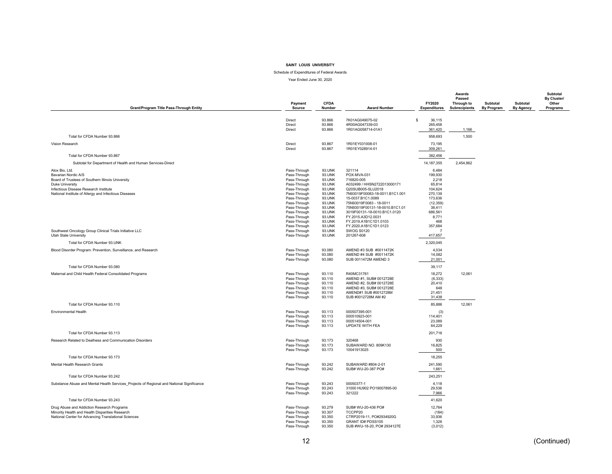Schedule of Expenditures of Federal Awards

|                                                                                           |                              |                  |                                                           |                          | Awards               |                   | Subtotal         |                             |
|-------------------------------------------------------------------------------------------|------------------------------|------------------|-----------------------------------------------------------|--------------------------|----------------------|-------------------|------------------|-----------------------------|
|                                                                                           | Payment                      | <b>CFDA</b>      |                                                           | FY2020                   | Passed<br>Through to | Subtotal          | Subtotal         | <b>By Cluster/</b><br>Other |
| Grant/Program Title Pass-Through Entity                                                   | Source                       | Number           | <b>Award Number</b>                                       | <b>Expenditures</b>      | <b>Subrecipients</b> | <b>By Program</b> | <b>By Agency</b> | Programs                    |
|                                                                                           |                              |                  |                                                           |                          |                      |                   |                  |                             |
|                                                                                           | Direct<br>Direct             | 93.866<br>93.866 | 7K01AG049075-02<br>4R00AG047339-03                        | \$.<br>36,115<br>265,458 |                      |                   |                  |                             |
|                                                                                           | Direct                       | 93.866           | 1R01AG058714-01A1                                         | 361,420                  | 1,166                |                   |                  |                             |
| Total for CFDA Number 93.866                                                              |                              |                  |                                                           | 958,693                  | 1,500                |                   |                  |                             |
| Vision Research                                                                           | Direct                       | 93.867           | 1R01EY031008-01                                           | 73,195                   |                      |                   |                  |                             |
|                                                                                           | Direct                       | 93.867           | 1R01EY028914-01                                           | 309.261                  |                      |                   |                  |                             |
| Total for CFDA Number 93.867                                                              |                              |                  |                                                           | 382,456                  |                      |                   |                  |                             |
| Subtotal for Department of Health and Human Services-Direct                               |                              |                  |                                                           | 14, 187, 355             | 2,454,862            |                   |                  |                             |
| Atox Bio, Ltd.                                                                            | Pass-Through                 | 93.UNK           | 321114                                                    | 6.484                    |                      |                   |                  |                             |
| Bavarian Nordic A/S<br>Board of Trustees of Southern Illinois University                  | Pass-Through                 | 93.UNK<br>93.UNK | POX-MVA-031<br>716820-005                                 | 199,930<br>2,218         |                      |                   |                  |                             |
| Duke University                                                                           | Pass-Through<br>Pass-Through | 93.UNK           | A032499 / HHSN2722013000171                               | 65,814                   |                      |                   |                  |                             |
| Infectious Disease Research Institute                                                     | Pass-Through                 | 93.UNK           | Q20SUB005-SLU2018                                         | 104,624                  |                      |                   |                  |                             |
| National Institute of Allergy and Infectious Diseases                                     | Pass-Through                 | 93.UNK           | 7N93019F00083-18-0011.B1C1.001                            | 270,139                  |                      |                   |                  |                             |
|                                                                                           | Pass-Through                 | 93.UNK           | 15-0037.B1C1.0089                                         | 173.636                  |                      |                   |                  |                             |
|                                                                                           | Pass-Through<br>Pass-Through | 93.UNK<br>93.UNK | 75N93019F0083 - 18-0011<br>75N93019F00131-18-0010.B1C1.01 | (12, 359)<br>38,411      |                      |                   |                  |                             |
|                                                                                           | Pass-Through                 | 93.UNK           | 3019F00131-18-0010.B1C1.0120                              | 686,561                  |                      |                   |                  |                             |
|                                                                                           | Pass-Through                 | 93.UNK           | FY.2015.A3D12.0031                                        | 8,771                    |                      |                   |                  |                             |
|                                                                                           | Pass-Through                 | 93.UNK           | FY.2019.A1B1C1D1.0103                                     | 468                      |                      |                   |                  |                             |
| Southwest Oncology Group Clinical Trials Initiative LLC                                   | Pass-Through<br>Pass-Through | 93.UNK<br>93.UNK | FY.2020.A1B1C1D1.0123<br><b>SWOG S0120</b>                | 357,684                  |                      |                   |                  |                             |
| Utah State University                                                                     | Pass-Through                 | 93.UNK           | 201267-608                                                | 417,657                  |                      |                   |                  |                             |
| Total for CFDA Number 93.UNK                                                              |                              |                  |                                                           | 2,320,045                |                      |                   |                  |                             |
| Blood Disorder Program: Prevention, Surveillance, and Research                            | Pass-Through                 | 93.080           | AMEND #3 SUB #0011472K                                    | 4,034                    |                      |                   |                  |                             |
|                                                                                           | Pass-Through                 | 93.080           | AMEND #4 SUB #0011472K                                    | 14.082                   |                      |                   |                  |                             |
|                                                                                           | Pass-Through                 | 93.080           | SUB 0011472M AMEND 3                                      | 21,001                   |                      |                   |                  |                             |
| Total for CFDA Number 93.080                                                              |                              |                  |                                                           | 39,117                   |                      |                   |                  |                             |
| Maternal and Child Health Federal Consolidated Programs                                   | Pass-Through                 | 93.110           | R40MC31761                                                | 18,272                   | 12.061               |                   |                  |                             |
|                                                                                           | Pass-Through                 | 93.110           | AMEND #1, SUB# 0012728E                                   | (6, 333)                 |                      |                   |                  |                             |
|                                                                                           | Pass-Through                 | 93.110<br>93.110 | AMEND #2, SUB# 0012728E                                   | 20,410<br>648            |                      |                   |                  |                             |
|                                                                                           | Pass-Through<br>Pass-Through | 93.110           | AMEND #3, SUB# 0012728E<br>AMEND#1 SUB #0012728M          | 21,451                   |                      |                   |                  |                             |
|                                                                                           | Pass-Through                 | 93.110           | SUB #0012728M AM #2                                       | 31,438                   |                      |                   |                  |                             |
| Total for CFDA Number 93.110                                                              |                              |                  |                                                           | 85,886                   | 12.061               |                   |                  |                             |
| <b>Environmental Health</b>                                                               | Pass-Through                 | 93.113           | 000507395-001                                             | (3)                      |                      |                   |                  |                             |
|                                                                                           | Pass-Through                 | 93.113           | 000510923-001                                             | 114,401                  |                      |                   |                  |                             |
|                                                                                           | Pass-Through<br>Pass-Through | 93.113<br>93.113 | 000514504-001<br>UPDATE WITH FEA                          | 23,089<br>64,229         |                      |                   |                  |                             |
|                                                                                           |                              |                  |                                                           |                          |                      |                   |                  |                             |
| Total for CFDA Number 93.113                                                              |                              |                  |                                                           | 201,716                  |                      |                   |                  |                             |
| Research Related to Deafness and Communication Disorders                                  | Pass-Through<br>Pass-Through | 93.173<br>93.173 | 320468<br>SUBAWARD NO. 809K130                            | 930<br>16,825            |                      |                   |                  |                             |
|                                                                                           | Pass-Through                 | 93.173           | 10041913025                                               | 500                      |                      |                   |                  |                             |
| Total for CFDA Number 93.173                                                              |                              |                  |                                                           | 18,255                   |                      |                   |                  |                             |
| Mental Health Research Grants                                                             | Pass-Through                 | 93.242           | SUBAWARD #804-2-01                                        | 241,590                  |                      |                   |                  |                             |
|                                                                                           | Pass-Through                 | 93.242           | SUB# WU-20-387 PO#                                        | 1,661                    |                      |                   |                  |                             |
| Total for CFDA Number 93.242                                                              |                              |                  |                                                           | 243,251                  |                      |                   |                  |                             |
| Substance Abuse and Mental Health Services_Projects of Regional and National Significance | Pass-Through                 | 93.243           | 00050377-1                                                | 4,118                    |                      |                   |                  |                             |
|                                                                                           | Pass-Through<br>Pass-Through | 93.243<br>93.243 | 31000 HU902 PO19007895-00<br>321222                       | 29,536<br>7,966          |                      |                   |                  |                             |
| Total for CFDA Number 93.243                                                              |                              |                  |                                                           | 41,620                   |                      |                   |                  |                             |
| Drug Abuse and Addiction Research Programs                                                | Pass-Through                 | 93.279           | SUB# WU-20-436 PO#                                        | 12,764                   |                      |                   |                  |                             |
| Minority Health and Health Disparities Research                                           | Pass-Through                 | 93.307           | TCCPP20                                                   | (184)                    |                      |                   |                  |                             |
| National Center for Advancing Translational Sciences                                      | Pass-Through                 | 93.350           | CTRP2019-11, PO#2934920G                                  | 33,936                   |                      |                   |                  |                             |
|                                                                                           | Pass-Through                 | 93.350           | <b>GRANT ID# PDSS105</b>                                  | 1,326                    |                      |                   |                  |                             |
|                                                                                           | Pass-Through                 | 93.350           | SUB #WU-18-20, PO# 2934127E                               | (3,012)                  |                      |                   |                  |                             |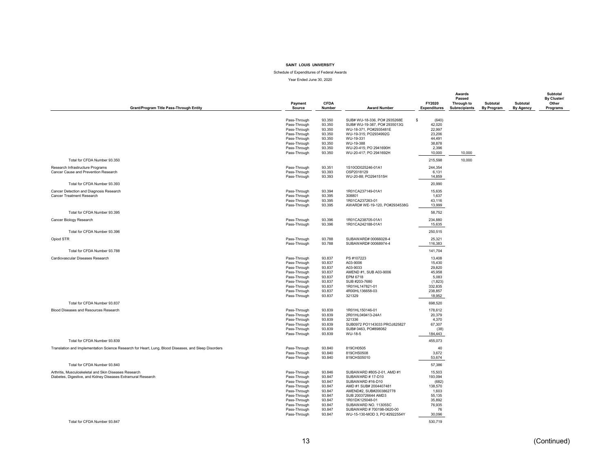Schedule of Expenditures of Federal Awards

Year Ended June 30, 2020

| <b>Grant/Program Title Pass-Through Entity</b>                                                                        | Payment<br>Source                                                                                                                                            | <b>CFDA</b><br>Number                                                                            | <b>Award Number</b>                                                                                                                                                                                                                                    | FY2020<br><b>Expenditures</b>                                                                | Awards<br>Passed<br>Through to<br><b>Subrecipients</b> | Subtotal<br>By Program | Subtotal<br><b>By Agency</b> | Subtotal<br>By Cluster/<br>Other<br>Programs |
|-----------------------------------------------------------------------------------------------------------------------|--------------------------------------------------------------------------------------------------------------------------------------------------------------|--------------------------------------------------------------------------------------------------|--------------------------------------------------------------------------------------------------------------------------------------------------------------------------------------------------------------------------------------------------------|----------------------------------------------------------------------------------------------|--------------------------------------------------------|------------------------|------------------------------|----------------------------------------------|
|                                                                                                                       | Pass-Through<br>Pass-Through<br>Pass-Through<br>Pass-Through<br>Pass-Through<br>Pass-Through<br>Pass-Through<br>Pass-Through                                 | 93.350<br>93.350<br>93.350<br>93.350<br>93.350<br>93.350<br>93.350<br>93.350                     | SUB# WU-18-336, PO# 2935268E<br>SUB# WU-19-387, PO# 2935013G<br>WU-18-371, PO#2935481E<br>WU-19-315; PO2934992G<br>WU-19-331<br>WU-19-388<br>WU-20-415; PO 2941690H<br>WU-20-417; PO 2941692H                                                          | $\mathbb{S}$<br>(640)<br>42,020<br>22,997<br>23,206<br>44.491<br>38,878<br>2,396<br>10,000   | 10,000                                                 |                        |                              |                                              |
| Total for CFDA Number 93.350                                                                                          |                                                                                                                                                              |                                                                                                  |                                                                                                                                                                                                                                                        | 215,598                                                                                      | 10,000                                                 |                        |                              |                                              |
| Research Infrastructure Programs<br>Cancer Cause and Prevention Research                                              | Pass-Through<br>Pass-Through<br>Pass-Through                                                                                                                 | 93.351<br>93.393<br>93.393                                                                       | 1S10OD025246-01A1<br>OSP2018129<br>WU-20-88; PO2941515H                                                                                                                                                                                                | 244,354<br>6,131<br>14,859                                                                   |                                                        |                        |                              |                                              |
| Total for CFDA Number 93.393                                                                                          |                                                                                                                                                              |                                                                                                  |                                                                                                                                                                                                                                                        | 20,990                                                                                       |                                                        |                        |                              |                                              |
| Cancer Detection and Diagnosis Research<br>Cancer Treatment Research                                                  | Pass-Through<br>Pass-Through<br>Pass-Through<br>Pass-Through                                                                                                 | 93.394<br>93.395<br>93.395<br>93.395                                                             | 1R01CA237149-01A1<br>308801<br>1R01CA237263-01<br>AWARD# WE-19-120, PO#2934538G                                                                                                                                                                        | 15.635<br>1,637<br>43,116<br>13,999                                                          |                                                        |                        |                              |                                              |
| Total for CFDA Number 93.395                                                                                          |                                                                                                                                                              |                                                                                                  |                                                                                                                                                                                                                                                        | 58,752                                                                                       |                                                        |                        |                              |                                              |
| Cancer Biology Research                                                                                               | Pass-Through<br>Pass-Through                                                                                                                                 | 93.396<br>93.396                                                                                 | 1R01CA238705-01A1<br>1R01CA242188-01A1                                                                                                                                                                                                                 | 234,880<br>15,635                                                                            |                                                        |                        |                              |                                              |
| Total for CFDA Number 93.396                                                                                          |                                                                                                                                                              |                                                                                                  |                                                                                                                                                                                                                                                        | 250,515                                                                                      |                                                        |                        |                              |                                              |
| Opiod STR                                                                                                             | Pass-Through<br>Pass-Through                                                                                                                                 | 93.788<br>93.788                                                                                 | SUBAWARD# 00066028-4<br>SUBAWARD# 00068974-4                                                                                                                                                                                                           | 25,321<br>116,383                                                                            |                                                        |                        |                              |                                              |
| Total for CFDA Number 93.788                                                                                          |                                                                                                                                                              |                                                                                                  |                                                                                                                                                                                                                                                        | 141,704                                                                                      |                                                        |                        |                              |                                              |
| Cardiovascular Diseases Research                                                                                      | Pass-Through<br>Pass-Through<br>Pass-Through<br>Pass-Through<br>Pass-Through<br>Pass-Through<br>Pass-Through<br>Pass-Through<br>Pass-Through                 | 93.837<br>93.837<br>93.837<br>93.837<br>93.837<br>93.837<br>93.837<br>93.837<br>93.837           | PS #107223<br>A03-9006<br>A03-9033<br>AMEND #1, SUB A03-9006<br>EPM 6718<br>SUB #203-7680<br>1R01HL147821-01<br>4R00HL136658-03<br>321329                                                                                                              | 13,408<br>15,430<br>29,820<br>45,958<br>5,083<br>(1,823)<br>332,835<br>238,857<br>18,952     |                                                        |                        |                              |                                              |
| Total for CFDA Number 93.837                                                                                          |                                                                                                                                                              |                                                                                                  |                                                                                                                                                                                                                                                        | 698,520                                                                                      |                                                        |                        |                              |                                              |
| Blood Diseases and Resources Research                                                                                 | Pass-Through<br>Pass-Through<br>Pass-Through<br>Pass-Through<br>Pass-Through<br>Pass-Through                                                                 | 93.839<br>93.839<br>93.839<br>93.839<br>93.839<br>93.839                                         | 1R01HL150146-01<br>2R01HL049413-24A1<br>321336<br>SUB0972 PO1143033 PROJ825827<br>SUB# 0463, PO#898082<br>WU-18-5                                                                                                                                      | 178,612<br>20,379<br>4,370<br>67,307<br>(38)<br>184,443                                      |                                                        |                        |                              |                                              |
| Total for CFDA Number 93.839                                                                                          |                                                                                                                                                              |                                                                                                  |                                                                                                                                                                                                                                                        | 455,073                                                                                      |                                                        |                        |                              |                                              |
| Translation and Implementation Science Research for Heart, Lung, Blood Diseases, and Sleep Disorders                  | Pass-Through<br>Pass-Through<br>Pass-Through                                                                                                                 | 93.840<br>93.840<br>93.840                                                                       | 819CH0505<br>819CHS0508<br>819CHS05010                                                                                                                                                                                                                 | 40<br>3,672<br>53,674                                                                        |                                                        |                        |                              |                                              |
| Total for CFDA Number 93.840                                                                                          |                                                                                                                                                              |                                                                                                  |                                                                                                                                                                                                                                                        | 57,386                                                                                       |                                                        |                        |                              |                                              |
| Arthritis, Musculoskeletal and Skin Diseases Research<br>Diabetes, Digestive, and Kidney Diseases Extramural Research | Pass-Through<br>Pass-Through<br>Pass-Through<br>Pass-Through<br>Pass-Through<br>Pass-Through<br>Pass-Through<br>Pass-Through<br>Pass-Through<br>Pass-Through | 93.846<br>93.847<br>93.847<br>93.847<br>93.847<br>93.847<br>93.847<br>93.847<br>93.847<br>93.847 | SUBAWARD #805-2-01, AMD #1<br>SUBAWARD #17-D10<br>SUBAWARD #16-D10<br>AMD #1 SUB# 2004407481<br>AMEND#2, SUB#2003862778<br>SUB 2003726644 AMD3<br>1R01DK125048-01<br>SUBAWARD NO. 11305SC<br>SUBAWARD #700198-0620-00<br>WU-15-130-MOD 3, PO #2922554Y | 15.503<br>193,094<br>(682)<br>138,570<br>1,603<br>55,135<br>35,892<br>76,935<br>76<br>30,096 |                                                        |                        |                              |                                              |
| Total for CFDA Number 93.847                                                                                          |                                                                                                                                                              |                                                                                                  |                                                                                                                                                                                                                                                        | 530.719                                                                                      |                                                        |                        |                              |                                              |

Total for CFDA Number 93.847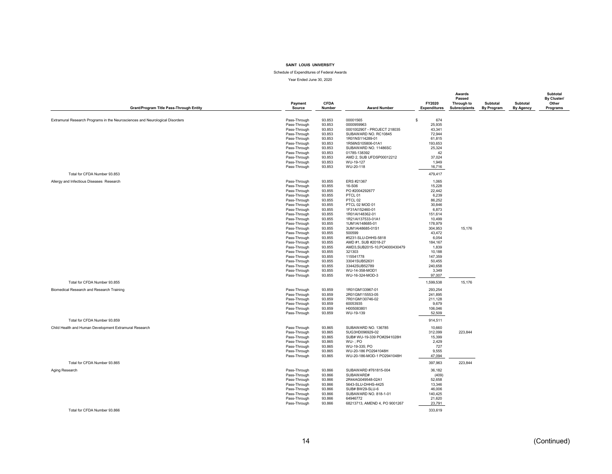Schedule of Expenditures of Federal Awards

| Grant/Program Title Pass-Through Entity                                      | Payment<br>Source                                                                                                                                                                                                                                                                                                            | <b>CFDA</b><br>Number                                                                                                                                                                                | <b>Award Number</b>                                                                                                                                                                                                                                                                                                                                  | FY2020<br><b>Expenditures</b>                                                                                                                                                                        | Awards<br>Passed<br>Through to<br><b>Subrecipients</b> | Subtotal<br>By Program | <b>Subtotal</b><br><b>By Agency</b> | <b>Subtotal</b><br>By Cluster/<br>Other<br>Programs |
|------------------------------------------------------------------------------|------------------------------------------------------------------------------------------------------------------------------------------------------------------------------------------------------------------------------------------------------------------------------------------------------------------------------|------------------------------------------------------------------------------------------------------------------------------------------------------------------------------------------------------|------------------------------------------------------------------------------------------------------------------------------------------------------------------------------------------------------------------------------------------------------------------------------------------------------------------------------------------------------|------------------------------------------------------------------------------------------------------------------------------------------------------------------------------------------------------|--------------------------------------------------------|------------------------|-------------------------------------|-----------------------------------------------------|
| Extramural Research Programs in the Neurosciences and Neurological Disorders | Pass-Through<br>Pass-Through<br>Pass-Through<br>Pass-Through<br>Pass-Through<br>Pass-Through<br>Pass-Through<br>Pass-Through<br>Pass-Through<br>Pass-Through<br>Pass-Through                                                                                                                                                 | 93.853<br>93.853<br>93.853<br>93.853<br>93.853<br>93.853<br>93.853<br>93.853<br>93.853<br>93.853<br>93.853                                                                                           | 00001565<br>0000959963<br>0001002907 - PROJECT 218035<br>SUBAWARD NO. RC10845<br>1R01NS114289-01<br>1R56NS105806-01A1<br>SUBAWARD NO. 11486SC<br>01785-138392<br>AMD 2, SUB UFDSP00012212<br>WU-19-127<br>WU-20-118                                                                                                                                  | \$<br>674<br>25,935<br>43,341<br>72,944<br>61,815<br>193.653<br>25,324<br>42<br>37,024<br>1,949<br>16,716                                                                                            |                                                        |                        |                                     |                                                     |
| Total for CFDA Number 93.853                                                 |                                                                                                                                                                                                                                                                                                                              |                                                                                                                                                                                                      |                                                                                                                                                                                                                                                                                                                                                      | 479,417                                                                                                                                                                                              |                                                        |                        |                                     |                                                     |
| Allergy and Infectious Diseases Research                                     | Pass-Through<br>Pass-Through<br>Pass-Through<br>Pass-Through<br>Pass-Through<br>Pass-Through<br>Pass-Through<br>Pass-Through<br>Pass-Through<br>Pass-Through<br>Pass-Through<br>Pass-Through<br>Pass-Through<br>Pass-Through<br>Pass-Through<br>Pass-Through<br>Pass-Through<br>Pass-Through<br>Pass-Through<br>Pass-Through | 93.855<br>93.855<br>93.855<br>93.855<br>93.855<br>93.855<br>93.855<br>93.855<br>93.855<br>93.855<br>93.855<br>93.855<br>93.855<br>93.855<br>93.855<br>93.855<br>93.855<br>93.855<br>93.855<br>93.855 | ERS #21367<br>16-S06<br>PO #2004292677<br>PTCL 01<br>PTCL 02<br>PTCL 02 MOD 01<br>1F31AI152460-01<br>1R01AI148362-01<br>1R21AI137533-01A1<br>1UM1AI148685-01<br>3UM1AI48685-01S1<br>500599<br>#5231-SLU-DHHS-5818<br>AMD #1, SUB #2018-27<br>AMD3,SUB2015-10,PO4000430479<br>321303<br>115541778<br>33041SUB52631<br>33442SUB52789<br>WU-14-358-MOD1 | 1,065<br>15,228<br>22,442<br>6,239<br>86,252<br>30,846<br>6,873<br>151.614<br>10,499<br>178,979<br>304,953<br>43,472<br>6,054<br>184,167<br>1,839<br>10,188<br>147,359<br>50,455<br>240,658<br>3,349 | 15,176                                                 |                        |                                     |                                                     |
|                                                                              | Pass-Through                                                                                                                                                                                                                                                                                                                 | 93.855                                                                                                                                                                                               | WU-16-324-MOD-3                                                                                                                                                                                                                                                                                                                                      | 97,007                                                                                                                                                                                               |                                                        |                        |                                     |                                                     |
| Total for CFDA Number 93.855                                                 |                                                                                                                                                                                                                                                                                                                              |                                                                                                                                                                                                      |                                                                                                                                                                                                                                                                                                                                                      | 1,599,538                                                                                                                                                                                            | 15,176                                                 |                        |                                     |                                                     |
| Biomedical Research and Research Training                                    | Pass-Through<br>Pass-Through<br>Pass-Through<br>Pass-Through<br>Pass-Through<br>Pass-Through                                                                                                                                                                                                                                 | 93.859<br>93.859<br>93.859<br>93.859<br>93.859<br>93.859                                                                                                                                             | 1R01GM133967-01<br>2R01GM115553-05<br>7R01GM130746-02<br>60053935<br>H005083801<br>WU-19-139                                                                                                                                                                                                                                                         | 293,254<br>241,895<br>211,128<br>9,679<br>106,046<br>52,509                                                                                                                                          |                                                        |                        |                                     |                                                     |
| Total for CFDA Number 93.859                                                 |                                                                                                                                                                                                                                                                                                                              |                                                                                                                                                                                                      |                                                                                                                                                                                                                                                                                                                                                      | 914,511                                                                                                                                                                                              |                                                        |                        |                                     |                                                     |
| Child Health and Human Development Extramural Research                       | Pass-Through<br>Pass-Through<br>Pass-Through<br>Pass-Through<br>Pass-Through<br>Pass-Through<br>Pass-Through                                                                                                                                                                                                                 | 93.865<br>93.865<br>93.865<br>93.865<br>93.865<br>93.865<br>93.865                                                                                                                                   | SUBAWARD NO. 136785<br>5UG3HD096929-02<br>SUB# WU-19-339 PO#2941028H<br>$WU -$ : PO<br>WU-19-335; PO<br>WU-20-186 PO2941048H<br>WU-20-186-MOD-1 PO2941048H                                                                                                                                                                                           | 10,660<br>312,099<br>15,399<br>2,429<br>727<br>9,555<br>47,094                                                                                                                                       | 223,844                                                |                        |                                     |                                                     |
| Total for CFDA Number 93.865                                                 |                                                                                                                                                                                                                                                                                                                              |                                                                                                                                                                                                      |                                                                                                                                                                                                                                                                                                                                                      | 397,963                                                                                                                                                                                              | 223.844                                                |                        |                                     |                                                     |
| Aging Research<br>Total for CFDA Number 93.866                               | Pass-Through<br>Pass-Through<br>Pass-Through<br>Pass-Through<br>Pass-Through<br>Pass-Through<br>Pass-Through<br>Pass-Through                                                                                                                                                                                                 | 93.866<br>93.866<br>93.866<br>93.866<br>93.866<br>93.866<br>93.866<br>93.866                                                                                                                         | SUBAWARD #761815-004<br>SUBAWARD#<br>2R44AG049548-02A1<br>5643-SLU-DHHS-4425<br>SUB# BW29-SLU-6<br>SUBAWARD NO. 818-1-01<br>64946772<br>68213713, AMEND 4, PO 9001267                                                                                                                                                                                | 36,182<br>(409)<br>52,658<br>13,346<br>46,006<br>140,425<br>21,620<br>23,791<br>333.619                                                                                                              |                                                        |                        |                                     |                                                     |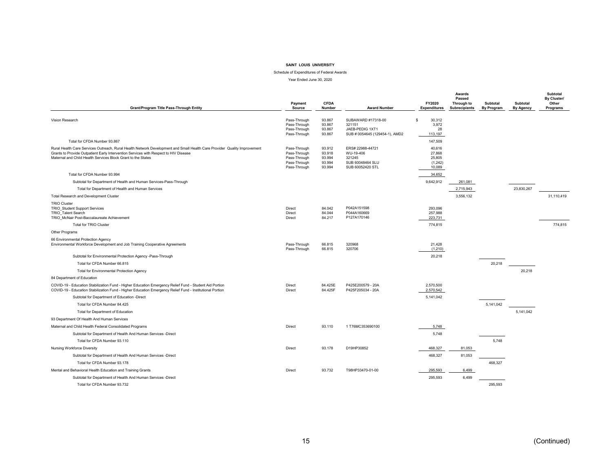Schedule of Expenditures of Federal Awards

| <b>Grant/Program Title Pass-Through Entity</b>                                                                                                                                                                     | Payment<br>Source            | <b>CFDA</b><br>Number | <b>Award Number</b>                    | FY2020<br><b>Expenditures</b>    | Awards<br>Passed<br>Through to<br><b>Subrecipients</b> | <b>Subtotal</b><br><b>By Program</b> | Subtotal<br><b>By Agency</b> | <b>Subtotal</b><br>By Cluster/<br>Other<br>Programs |
|--------------------------------------------------------------------------------------------------------------------------------------------------------------------------------------------------------------------|------------------------------|-----------------------|----------------------------------------|----------------------------------|--------------------------------------------------------|--------------------------------------|------------------------------|-----------------------------------------------------|
|                                                                                                                                                                                                                    |                              |                       |                                        |                                  |                                                        |                                      |                              |                                                     |
| Vision Research                                                                                                                                                                                                    | Pass-Through<br>Pass-Through | 93.867<br>93.867      | SUBAWARD #17318-00<br>321151           | 30,312<br><sup>\$</sup><br>3,972 |                                                        |                                      |                              |                                                     |
|                                                                                                                                                                                                                    | Pass-Through                 | 93.867                | JAEB-PEDIG 1XT1                        | 28                               |                                                        |                                      |                              |                                                     |
|                                                                                                                                                                                                                    | Pass-Through                 | 93.867                | SUB # 0054645 (129454-1), AMD2         | 113,197                          |                                                        |                                      |                              |                                                     |
| Total for CFDA Number 93.867                                                                                                                                                                                       |                              |                       |                                        | 147,509                          |                                                        |                                      |                              |                                                     |
| Rural Health Care Services Outreach, Rural Health Network Development and Small Health Care Provider Quality Improvement<br>Grants to Provide Outpatient Early Intervention Services with Respect to HIV Disease   | Pass-Through                 | 93.912<br>93.918      | ERS# 22988-44721<br>WU-19-406          | 40.616<br>27,868                 |                                                        |                                      |                              |                                                     |
| Maternal and Child Health Services Block Grant to the States                                                                                                                                                       | Pass-Through<br>Pass-Through | 93.994                | 321245                                 | 25,805                           |                                                        |                                      |                              |                                                     |
|                                                                                                                                                                                                                    | Pass-Through<br>Pass-Through | 93.994<br>93.994      | SUB 60048464 SLU<br>SUB 60052420 STL   | (1,242)<br>10,089                |                                                        |                                      |                              |                                                     |
| Total for CFDA Number 93.994                                                                                                                                                                                       |                              |                       |                                        | 34,652                           |                                                        |                                      |                              |                                                     |
| Subtotal for Department of Health and Human Services-Pass-Through                                                                                                                                                  |                              |                       |                                        | 9,642,912                        | 261,081                                                |                                      |                              |                                                     |
| Total for Department of Health and Human Services                                                                                                                                                                  |                              |                       |                                        |                                  | 2,715,943                                              |                                      | 23,830,267                   |                                                     |
| Total Research and Development Cluster                                                                                                                                                                             |                              |                       |                                        |                                  | 3,556,132                                              |                                      |                              | 31,110,419                                          |
| <b>TRIO Cluster</b>                                                                                                                                                                                                |                              |                       |                                        |                                  |                                                        |                                      |                              |                                                     |
| <b>TRIO</b> Student Support Services                                                                                                                                                                               | Direct                       | 84.042                | P042A151598                            | 293,096                          |                                                        |                                      |                              |                                                     |
| TRIO Talent Search                                                                                                                                                                                                 | Direct                       | 84.044                | P044A160669<br>P127A170146             | 257,988                          |                                                        |                                      |                              |                                                     |
| TRIO_McNair Post-Baccalaureate Achievement<br>Total for TRIO Cluster                                                                                                                                               | <b>Direct</b>                | 84.217                |                                        | 223,731<br>774,815               |                                                        |                                      |                              | 774,815                                             |
| Other Programs                                                                                                                                                                                                     |                              |                       |                                        |                                  |                                                        |                                      |                              |                                                     |
| 66 Environmental Protection Agency                                                                                                                                                                                 |                              |                       |                                        |                                  |                                                        |                                      |                              |                                                     |
| Environmental Workforce Development and Job Training Cooperative Agreements                                                                                                                                        | Pass-Through                 | 66.815                | 320968                                 | 21,428                           |                                                        |                                      |                              |                                                     |
|                                                                                                                                                                                                                    | Pass-Through                 | 66.815                | 320706                                 | (1, 210)                         |                                                        |                                      |                              |                                                     |
| Subtotal for Environmental Protection Agency -Pass-Through                                                                                                                                                         |                              |                       |                                        | 20,218                           |                                                        |                                      |                              |                                                     |
| Total for CFDA Number 66.815                                                                                                                                                                                       |                              |                       |                                        |                                  |                                                        | 20,218                               |                              |                                                     |
| Total for Environmental Protection Agency                                                                                                                                                                          |                              |                       |                                        |                                  |                                                        |                                      | 20,218                       |                                                     |
| 84 Department of Education                                                                                                                                                                                         |                              |                       |                                        |                                  |                                                        |                                      |                              |                                                     |
| COVID-19 - Education Stabilization Fund - Higher Education Emergency Relief Fund - Student Aid Portion<br>COVID-19 - Education Stabilization Fund - Higher Education Emergency Relief Fund - Institutional Portion | Direct<br>Direct             | 84.425E<br>84.425F    | P425E200579 - 20A<br>P425F205034 - 20A | 2,570,500<br>2,570,542           |                                                        |                                      |                              |                                                     |
| Subtotal for Department of Education -Direct                                                                                                                                                                       |                              |                       |                                        | 5,141,042                        |                                                        |                                      |                              |                                                     |
| Total for CFDA Number 84.425                                                                                                                                                                                       |                              |                       |                                        |                                  |                                                        | 5,141,042                            |                              |                                                     |
| Total for Department of Education                                                                                                                                                                                  |                              |                       |                                        |                                  |                                                        |                                      | 5,141,042                    |                                                     |
| 93 Department Of Health And Human Services                                                                                                                                                                         |                              |                       |                                        |                                  |                                                        |                                      |                              |                                                     |
| Maternal and Child Health Federal Consolidated Programs                                                                                                                                                            | Direct                       | 93.110                | 1 T76MC353690100                       | 5,748                            |                                                        |                                      |                              |                                                     |
| Subtotal for Department of Health And Human Services -Direct                                                                                                                                                       |                              |                       |                                        | 5,748                            |                                                        |                                      |                              |                                                     |
| Total for CFDA Number 93.110                                                                                                                                                                                       |                              |                       |                                        |                                  |                                                        | 5,748                                |                              |                                                     |
|                                                                                                                                                                                                                    | Direct                       |                       |                                        |                                  |                                                        |                                      |                              |                                                     |
| <b>Nursing Workforce Diversity</b>                                                                                                                                                                                 |                              | 93.178                | D19HP30852                             | 468,327                          | 81,053                                                 |                                      |                              |                                                     |
| Subtotal for Department of Health And Human Services -Direct                                                                                                                                                       |                              |                       |                                        | 468,327                          | 81,053                                                 |                                      |                              |                                                     |
| Total for CFDA Number 93.178                                                                                                                                                                                       |                              |                       |                                        |                                  |                                                        | 468,327                              |                              |                                                     |
| Mental and Behavioral Health Education and Training Grants                                                                                                                                                         | Direct                       | 93.732                | T98HP33470-01-00                       | 295,593                          | 6.499                                                  |                                      |                              |                                                     |
| Subtotal for Department of Health And Human Services -Direct                                                                                                                                                       |                              |                       |                                        | 295,593                          | 6.499                                                  |                                      |                              |                                                     |
| Total for CFDA Number 93.732                                                                                                                                                                                       |                              |                       |                                        |                                  |                                                        | 295,593                              |                              |                                                     |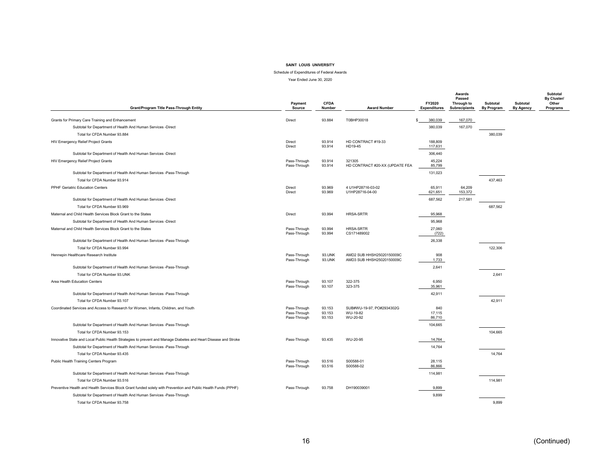Schedule of Expenditures of Federal Awards

| Grant/Program Title Pass-Through Entity                                                                         | Payment<br>Source                            | <b>CFDA</b><br>Number      | <b>Award Number</b>                                    | FY2020<br><b>Expenditures</b> | Awards<br>Passed<br>Through to<br><b>Subrecipients</b> | Subtotal<br>By Program | Subtotal<br><b>By Agency</b> | Subtotal<br>By Cluster/<br>Other<br>Programs |
|-----------------------------------------------------------------------------------------------------------------|----------------------------------------------|----------------------------|--------------------------------------------------------|-------------------------------|--------------------------------------------------------|------------------------|------------------------------|----------------------------------------------|
| Grants for Primary Care Training and Enhancement                                                                | Direct                                       | 93.884                     | T0BHP30018                                             | 380,039<br>\$.                | 167,070                                                |                        |                              |                                              |
| Subtotal for Department of Health And Human Services -Direct                                                    |                                              |                            |                                                        | 380,039                       | 167,070                                                |                        |                              |                                              |
| Total for CFDA Number 93.884                                                                                    |                                              |                            |                                                        |                               |                                                        | 380.039                |                              |                                              |
| HIV Emergency Relief Project Grants                                                                             | Direct<br>Direct                             | 93.914<br>93.914           | HD CONTRACT #19-33<br>HD19-45                          | 188,809<br>117,631            |                                                        |                        |                              |                                              |
| Subtotal for Department of Health And Human Services -Direct                                                    |                                              |                            |                                                        | 306,440                       |                                                        |                        |                              |                                              |
| HIV Emergency Relief Project Grants                                                                             | Pass-Through<br>Pass-Through                 | 93.914<br>93.914           | 321305<br>HD CONTRACT #20-XX (UPDATE FEA               | 45,224<br>85,799              |                                                        |                        |                              |                                              |
| Subtotal for Department of Health And Human Services -Pass-Through                                              |                                              |                            |                                                        | 131,023                       |                                                        |                        |                              |                                              |
| Total for CFDA Number 93.914                                                                                    |                                              |                            |                                                        |                               |                                                        | 437,463                |                              |                                              |
| PPHF Geriatric Education Centers                                                                                | Direct<br>Direct                             | 93.969<br>93.969           | 4 U1HP28716-03-02<br>U1HP28716-04-00                   | 65,911<br>621,651             | 64,209<br>153,372                                      |                        |                              |                                              |
| Subtotal for Department of Health And Human Services -Direct                                                    |                                              |                            |                                                        | 687,562                       | 217,581                                                |                        |                              |                                              |
| Total for CFDA Number 93.969                                                                                    |                                              |                            |                                                        |                               |                                                        | 687,562                |                              |                                              |
| Maternal and Child Health Services Block Grant to the States                                                    | Direct                                       | 93.994                     | HRSA-SRTR                                              | 95,968                        |                                                        |                        |                              |                                              |
| Subtotal for Department of Health And Human Services -Direct                                                    |                                              |                            |                                                        | 95,968                        |                                                        |                        |                              |                                              |
| Maternal and Child Health Services Block Grant to the States                                                    | Pass-Through<br>Pass-Through                 | 93.994<br>93.994           | HRSA-SRTR<br>CS171489002                               | 27,060<br>(722)               |                                                        |                        |                              |                                              |
| Subtotal for Department of Health And Human Services -Pass-Through                                              |                                              |                            |                                                        | 26,338                        |                                                        |                        |                              |                                              |
| Total for CFDA Number 93.994                                                                                    |                                              |                            |                                                        |                               |                                                        | 122,306                |                              |                                              |
| Hennepin Healthcare Research Institute                                                                          | Pass-Through<br>Pass-Through                 | 93.UNK<br>93.UNK           | AMD2 SUB HHSH25020150009C<br>AMD3 SUB HHSH25020150009C | 908<br>1,733                  |                                                        |                        |                              |                                              |
| Subtotal for Department of Health And Human Services -Pass-Through                                              |                                              |                            |                                                        | 2.641                         |                                                        |                        |                              |                                              |
| Total for CFDA Number 93.UNK                                                                                    |                                              |                            |                                                        |                               |                                                        | 2,641                  |                              |                                              |
| Area Health Education Centers                                                                                   | Pass-Through<br>Pass-Through                 | 93.107<br>93.107           | 322-375<br>323-375                                     | 6,950<br>35,961               |                                                        |                        |                              |                                              |
| Subtotal for Department of Health And Human Services -Pass-Through                                              |                                              |                            |                                                        | 42,911                        |                                                        |                        |                              |                                              |
| Total for CFDA Number 93.107                                                                                    |                                              |                            |                                                        |                               |                                                        | 42,911                 |                              |                                              |
| Coordinated Services and Access to Research for Women, Infants, Children, and Youth                             | Pass-Through<br>Pass-Through<br>Pass-Through | 93.153<br>93.153<br>93.153 | SUB#WU-19-97, PO#2934302G<br>WU-19-82<br>WU-20-92      | 840<br>17,115<br>86,710       |                                                        |                        |                              |                                              |
| Subtotal for Department of Health And Human Services -Pass-Through                                              |                                              |                            |                                                        | 104,665                       |                                                        |                        |                              |                                              |
| Total for CFDA Number 93.153                                                                                    |                                              |                            |                                                        |                               |                                                        | 104.665                |                              |                                              |
| Innovative State and Local Public Health Strategies to prevent and Manage Diabetes and Heart Disease and Stroke | Pass-Through                                 | 93.435                     | WU-20-95                                               | 14.764                        |                                                        |                        |                              |                                              |
| Subtotal for Department of Health And Human Services -Pass-Through                                              |                                              |                            |                                                        | 14,764                        |                                                        |                        |                              |                                              |
| Total for CFDA Number 93.435                                                                                    |                                              |                            |                                                        |                               |                                                        | 14.764                 |                              |                                              |
| Public Health Training Centers Program                                                                          | Pass-Through<br>Pass-Through                 | 93.516<br>93.516           | S00588-01<br>S00588-02                                 | 28,115<br>86,866              |                                                        |                        |                              |                                              |
| Subtotal for Department of Health And Human Services -Pass-Through                                              |                                              |                            |                                                        | 114,981                       |                                                        |                        |                              |                                              |
| Total for CFDA Number 93.516                                                                                    |                                              |                            |                                                        |                               |                                                        | 114,981                |                              |                                              |
| Preventive Health and Health Services Block Grant funded solely with Prevention and Public Health Funds (PPHF)  | Pass-Through                                 | 93.758                     | DH190039001                                            | 9,899                         |                                                        |                        |                              |                                              |
| Subtotal for Department of Health And Human Services -Pass-Through                                              |                                              |                            |                                                        | 9,899                         |                                                        |                        |                              |                                              |
| Total for CFDA Number 93.758                                                                                    |                                              |                            |                                                        |                               |                                                        | 9.899                  |                              |                                              |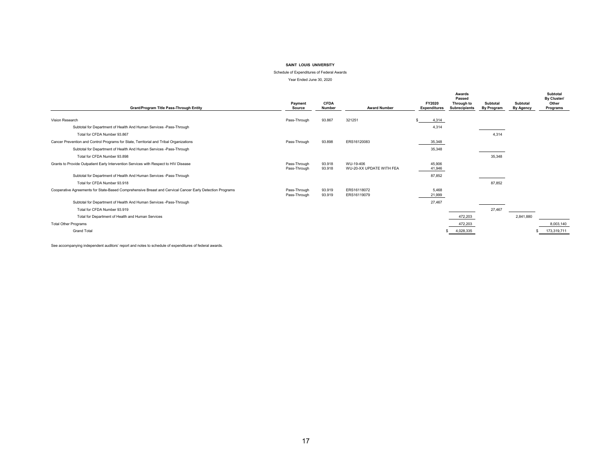#### Schedule of Expenditures of Federal Awards

#### Year Ended June 30, 2020

| Grant/Program Title Pass-Through Entity                                                                  | Payment<br>Source            | <b>CFDA</b><br>Number | <b>Award Number</b>                   | FY2020<br><b>Expenditures</b> | Awards<br>Passed<br>Through to<br><b>Subrecipients</b> | Subtotal<br>By Program | Subtotal<br><b>By Agency</b> | Subtotal<br>By Cluster/<br>Other<br>Programs |
|----------------------------------------------------------------------------------------------------------|------------------------------|-----------------------|---------------------------------------|-------------------------------|--------------------------------------------------------|------------------------|------------------------------|----------------------------------------------|
| Vision Research                                                                                          | Pass-Through                 | 93.867                | 321251                                | 4,314                         |                                                        |                        |                              |                                              |
| Subtotal for Department of Health And Human Services -Pass-Through                                       |                              |                       |                                       | 4.314                         |                                                        |                        |                              |                                              |
| Total for CFDA Number 93.867                                                                             |                              |                       |                                       |                               |                                                        | 4.314                  |                              |                                              |
| Cancer Prevention and Control Programs for State, Territorial and Tribal Organizations                   | Pass-Through                 | 93.898                | ERS16120083                           | 35,348                        |                                                        |                        |                              |                                              |
| Subtotal for Department of Health And Human Services -Pass-Through                                       |                              |                       |                                       | 35,348                        |                                                        |                        |                              |                                              |
| Total for CFDA Number 93,898                                                                             |                              |                       |                                       |                               |                                                        | 35,348                 |                              |                                              |
| Grants to Provide Outpatient Early Intervention Services with Respect to HIV Disease                     | Pass-Through<br>Pass-Through | 93.918<br>93.918      | WU-19-406<br>WU-20-XX UPDATE WITH FEA | 45,906<br>41,946              |                                                        |                        |                              |                                              |
| Subtotal for Department of Health And Human Services -Pass-Through                                       |                              |                       |                                       | 87,852                        |                                                        |                        |                              |                                              |
| Total for CFDA Number 93.918                                                                             |                              |                       |                                       |                               |                                                        | 87.852                 |                              |                                              |
| Cooperative Agreements for State-Based Comprehensive Breast and Cervical Cancer Early Detection Programs | Pass-Through<br>Pass-Through | 93.919<br>93.919      | ERS16118072<br>ERS16119079            | 5,468<br>21,999               |                                                        |                        |                              |                                              |
| Subtotal for Department of Health And Human Services -Pass-Through                                       |                              |                       |                                       | 27,467                        |                                                        |                        |                              |                                              |
| Total for CFDA Number 93.919                                                                             |                              |                       |                                       |                               |                                                        | 27,467                 |                              |                                              |
| Total for Department of Health and Human Services                                                        |                              |                       |                                       |                               | 472,203                                                |                        | 2,841,880                    |                                              |
| <b>Total Other Programs</b>                                                                              |                              |                       |                                       |                               | 472,203                                                |                        |                              | 8.003.140                                    |
| <b>Grand Total</b>                                                                                       |                              |                       |                                       |                               | 4,028,335                                              |                        |                              | 173,319,711                                  |

See accompanying independent auditors' report and notes to schedule of expenditures of federal awards.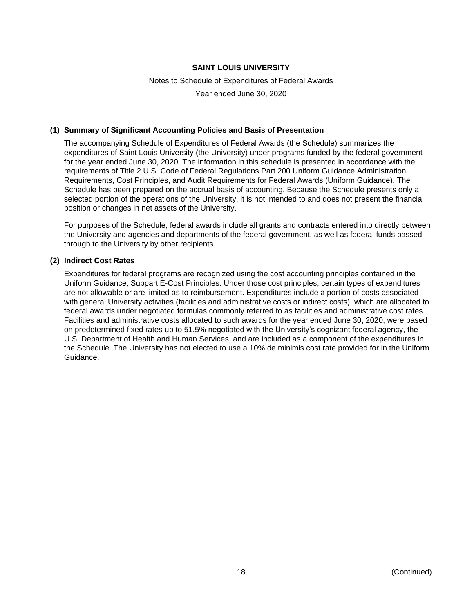#### Notes to Schedule of Expenditures of Federal Awards

Year ended June 30, 2020

### **(1) Summary of Significant Accounting Policies and Basis of Presentation**

The accompanying Schedule of Expenditures of Federal Awards (the Schedule) summarizes the expenditures of Saint Louis University (the University) under programs funded by the federal government for the year ended June 30, 2020. The information in this schedule is presented in accordance with the requirements of Title 2 U.S. Code of Federal Regulations Part 200 Uniform Guidance Administration Requirements, Cost Principles, and Audit Requirements for Federal Awards (Uniform Guidance). The Schedule has been prepared on the accrual basis of accounting. Because the Schedule presents only a selected portion of the operations of the University, it is not intended to and does not present the financial position or changes in net assets of the University.

For purposes of the Schedule, federal awards include all grants and contracts entered into directly between the University and agencies and departments of the federal government, as well as federal funds passed through to the University by other recipients.

### **(2) Indirect Cost Rates**

Expenditures for federal programs are recognized using the cost accounting principles contained in the Uniform Guidance, Subpart E-Cost Principles. Under those cost principles, certain types of expenditures are not allowable or are limited as to reimbursement. Expenditures include a portion of costs associated with general University activities (facilities and administrative costs or indirect costs), which are allocated to federal awards under negotiated formulas commonly referred to as facilities and administrative cost rates. Facilities and administrative costs allocated to such awards for the year ended June 30, 2020, were based on predetermined fixed rates up to 51.5% negotiated with the University's cognizant federal agency, the U.S. Department of Health and Human Services, and are included as a component of the expenditures in the Schedule. The University has not elected to use a 10% de minimis cost rate provided for in the Uniform Guidance.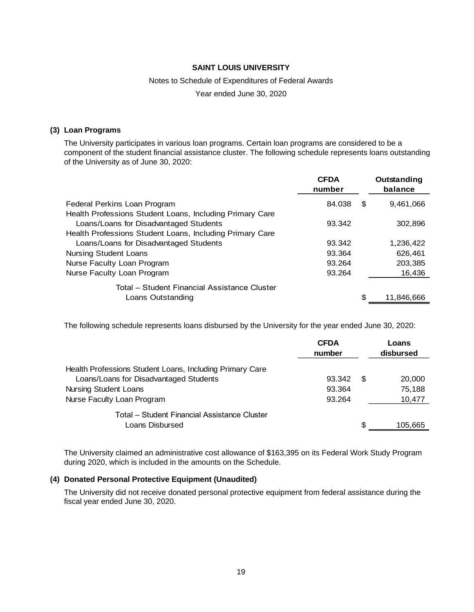### Notes to Schedule of Expenditures of Federal Awards

Year ended June 30, 2020

### **(3) Loan Programs**

The University participates in various loan programs. Certain loan programs are considered to be a component of the student financial assistance cluster. The following schedule represents loans outstanding of the University as of June 30, 2020:

|                                                          | <b>CFDA</b><br>number | Outstanding<br>balance |
|----------------------------------------------------------|-----------------------|------------------------|
| Federal Perkins Loan Program                             | 84.038                | \$<br>9,461,066        |
| Health Professions Student Loans, Including Primary Care |                       |                        |
| Loans/Loans for Disadvantaged Students                   | 93.342                | 302,896                |
| Health Professions Student Loans, Including Primary Care |                       |                        |
| Loans/Loans for Disadvantaged Students                   | 93.342                | 1,236,422              |
| <b>Nursing Student Loans</b>                             | 93.364                | 626.461                |
| Nurse Faculty Loan Program                               | 93.264                | 203,385                |
| Nurse Faculty Loan Program                               | 93.264                | 16,436                 |
| Total – Student Financial Assistance Cluster             |                       |                        |
| Loans Outstanding                                        |                       | \$<br>11,846,666       |

The following schedule represents loans disbursed by the University for the year ended June 30, 2020:

|                                                          | <b>CFDA</b><br>number |     | Loans<br>disbursed |  |
|----------------------------------------------------------|-----------------------|-----|--------------------|--|
| Health Professions Student Loans, Including Primary Care |                       |     |                    |  |
| Loans/Loans for Disadvantaged Students                   | 93.342                | \$. | 20,000             |  |
| <b>Nursing Student Loans</b>                             | 93.364                |     | 75,188             |  |
| Nurse Faculty Loan Program                               | 93.264                |     | 10,477             |  |
| Total - Student Financial Assistance Cluster             |                       |     |                    |  |
| Loans Disbursed                                          |                       |     | 105,665            |  |

The University claimed an administrative cost allowance of \$163,395 on its Federal Work Study Program during 2020, which is included in the amounts on the Schedule.

### **(4) Donated Personal Protective Equipment (Unaudited)**

The University did not receive donated personal protective equipment from federal assistance during the fiscal year ended June 30, 2020.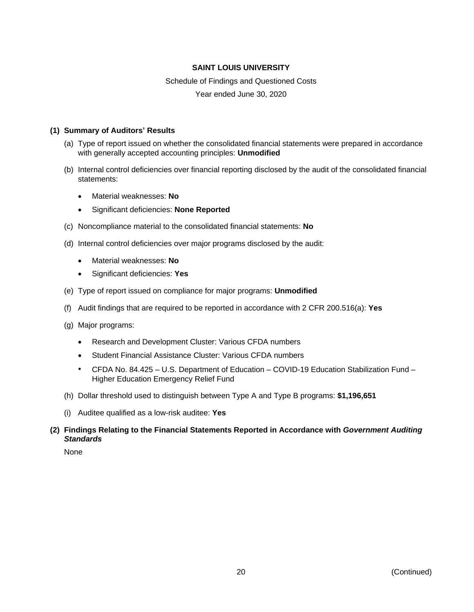Schedule of Findings and Questioned Costs

Year ended June 30, 2020

### **(1) Summary of Auditors' Results**

- (a) Type of report issued on whether the consolidated financial statements were prepared in accordance with generally accepted accounting principles: **Unmodified**
- (b) Internal control deficiencies over financial reporting disclosed by the audit of the consolidated financial statements:
	- Material weaknesses: **No**
	- Significant deficiencies: **None Reported**
- (c) Noncompliance material to the consolidated financial statements: **No**
- (d) Internal control deficiencies over major programs disclosed by the audit:
	- Material weaknesses: **No**
	- Significant deficiencies: **Yes**
- (e) Type of report issued on compliance for major programs: **Unmodified**
- (f) Audit findings that are required to be reported in accordance with 2 CFR 200.516(a): **Yes**
- (g) Major programs:
	- Research and Development Cluster: Various CFDA numbers
	- Student Financial Assistance Cluster: Various CFDA numbers
	- CFDA No. 84.425 U.S. Department of Education COVID-19 Education Stabilization Fund Higher Education Emergency Relief Fund
- (h) Dollar threshold used to distinguish between Type A and Type B programs: **\$1,196,651**
- (i) Auditee qualified as a low-risk auditee: **Yes**
- **(2) Findings Relating to the Financial Statements Reported in Accordance with** *Government Auditing Standards*

None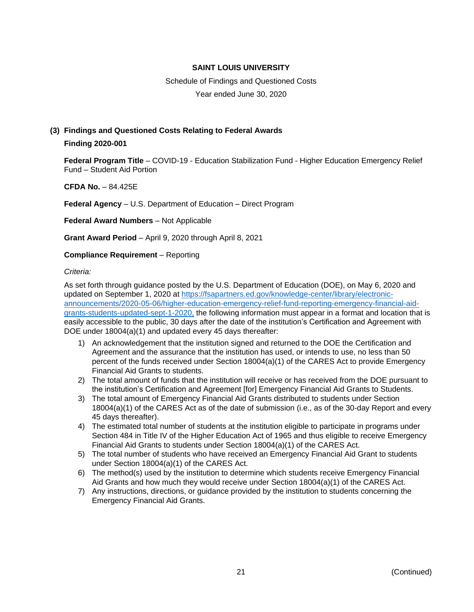Schedule of Findings and Questioned Costs Year ended June 30, 2020

# **(3) Findings and Questioned Costs Relating to Federal Awards**

## **Finding 2020-001**

**Federal Program Title** – COVID-19 - Education Stabilization Fund - Higher Education Emergency Relief Fund – Student Aid Portion

## **CFDA No.** – 84.425E

**Federal Agency** – U.S. Department of Education – Direct Program

**Federal Award Numbers** – Not Applicable

**Grant Award Period** – April 9, 2020 through April 8, 2021

### **Compliance Requirement** – Reporting

### *Criteria:*

As set forth through guidance posted by the U.S. Department of Education (DOE), on May 6, 2020 and updated on September 1, 2020 at [https://fsapartners.ed.gov/knowledge-center/library/electronic](https://fsapartners.ed.gov/knowledge-center/library/electronic-announcements/2020-05-06/higher-education-emergency-relief-fund-reporting-emergency-financial-aid-grants-students-updated-sept-1-2020)[announcements/2020-05-06/higher-education-emergency-relief-fund-reporting-emergency-financial-aid](https://fsapartners.ed.gov/knowledge-center/library/electronic-announcements/2020-05-06/higher-education-emergency-relief-fund-reporting-emergency-financial-aid-grants-students-updated-sept-1-2020)[grants-students-updated-sept-1-2020,](https://fsapartners.ed.gov/knowledge-center/library/electronic-announcements/2020-05-06/higher-education-emergency-relief-fund-reporting-emergency-financial-aid-grants-students-updated-sept-1-2020) the following information must appear in a format and location that is easily accessible to the public, 30 days after the date of the institution's Certification and Agreement with DOE under 18004(a)(1) and updated every 45 days thereafter:

- 1) An acknowledgement that the institution signed and returned to the DOE the Certification and Agreement and the assurance that the institution has used, or intends to use, no less than 50 percent of the funds received under Section 18004(a)(1) of the CARES Act to provide Emergency Financial Aid Grants to students.
- 2) The total amount of funds that the institution will receive or has received from the DOE pursuant to the institution's Certification and Agreement [for] Emergency Financial Aid Grants to Students.
- 3) The total amount of Emergency Financial Aid Grants distributed to students under Section 18004(a)(1) of the CARES Act as of the date of submission (i.e., as of the 30-day Report and every 45 days thereafter).
- 4) The estimated total number of students at the institution eligible to participate in programs under Section 484 in Title IV of the Higher Education Act of 1965 and thus eligible to receive Emergency Financial Aid Grants to students under Section 18004(a)(1) of the CARES Act.
- 5) The total number of students who have received an Emergency Financial Aid Grant to students under Section 18004(a)(1) of the CARES Act.
- 6) The method(s) used by the institution to determine which students receive Emergency Financial Aid Grants and how much they would receive under Section 18004(a)(1) of the CARES Act.
- 7) Any instructions, directions, or guidance provided by the institution to students concerning the Emergency Financial Aid Grants.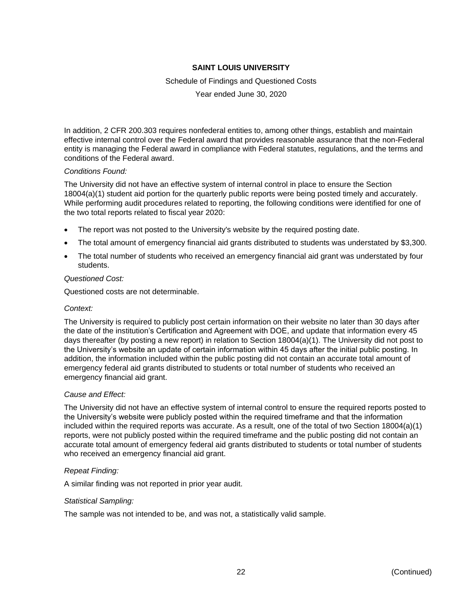Schedule of Findings and Questioned Costs

Year ended June 30, 2020

In addition, 2 CFR 200.303 requires nonfederal entities to, among other things, establish and maintain effective internal control over the Federal award that provides reasonable assurance that the non-Federal entity is managing the Federal award in compliance with Federal statutes, regulations, and the terms and conditions of the Federal award.

### *Conditions Found:*

The University did not have an effective system of internal control in place to ensure the Section 18004(a)(1) student aid portion for the quarterly public reports were being posted timely and accurately. While performing audit procedures related to reporting, the following conditions were identified for one of the two total reports related to fiscal year 2020:

- The report was not posted to the University's website by the required posting date.
- The total amount of emergency financial aid grants distributed to students was understated by \$3,300.
- The total number of students who received an emergency financial aid grant was understated by four students.

### *Questioned Cost:*

Questioned costs are not determinable.

### *Context:*

The University is required to publicly post certain information on their website no later than 30 days after the date of the institution's Certification and Agreement with DOE, and update that information every 45 days thereafter (by posting a new report) in relation to Section 18004(a)(1). The University did not post to the University's website an update of certain information within 45 days after the initial public posting. In addition, the information included within the public posting did not contain an accurate total amount of emergency federal aid grants distributed to students or total number of students who received an emergency financial aid grant.

### *Cause and Effect:*

The University did not have an effective system of internal control to ensure the required reports posted to the University's website were publicly posted within the required timeframe and that the information included within the required reports was accurate. As a result, one of the total of two Section 18004(a)(1) reports, were not publicly posted within the required timeframe and the public posting did not contain an accurate total amount of emergency federal aid grants distributed to students or total number of students who received an emergency financial aid grant.

### *Repeat Finding:*

A similar finding was not reported in prior year audit.

### *Statistical Sampling:*

The sample was not intended to be, and was not, a statistically valid sample.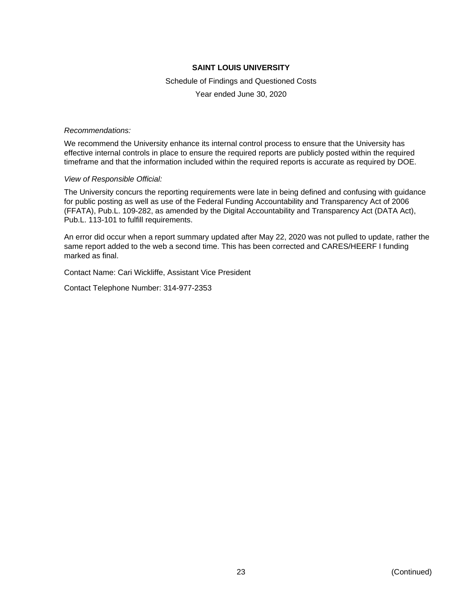Schedule of Findings and Questioned Costs

Year ended June 30, 2020

#### *Recommendations:*

We recommend the University enhance its internal control process to ensure that the University has effective internal controls in place to ensure the required reports are publicly posted within the required timeframe and that the information included within the required reports is accurate as required by DOE.

### *View of Responsible Official:*

The University concurs the reporting requirements were late in being defined and confusing with guidance for public posting as well as use of the Federal Funding Accountability and Transparency Act of 2006 (FFATA), Pub.L. 109-282, as amended by the Digital Accountability and Transparency Act (DATA Act), Pub.L. 113-101 to fulfill requirements.

An error did occur when a report summary updated after May 22, 2020 was not pulled to update, rather the same report added to the web a second time. This has been corrected and CARES/HEERF I funding marked as final.

Contact Name: Cari Wickliffe, Assistant Vice President

Contact Telephone Number: 314-977-2353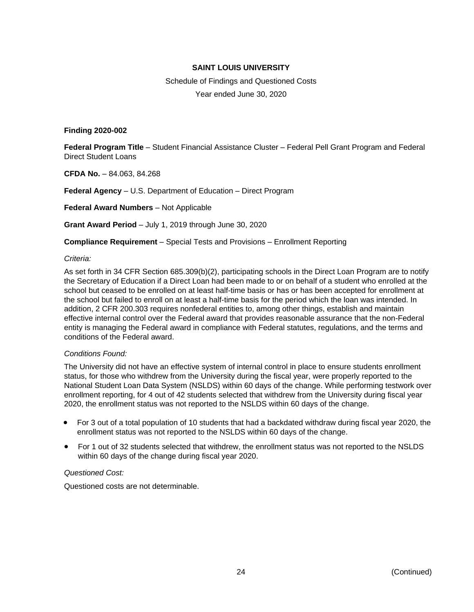Schedule of Findings and Questioned Costs Year ended June 30, 2020

### **Finding 2020-002**

**Federal Program Title** – Student Financial Assistance Cluster – Federal Pell Grant Program and Federal Direct Student Loans

**CFDA No.** – 84.063, 84.268

**Federal Agency** – U.S. Department of Education – Direct Program

**Federal Award Numbers** – Not Applicable

**Grant Award Period** – July 1, 2019 through June 30, 2020

**Compliance Requirement** – Special Tests and Provisions – Enrollment Reporting

#### *Criteria:*

As set forth in 34 CFR Section 685.309(b)(2), participating schools in the Direct Loan Program are to notify the Secretary of Education if a Direct Loan had been made to or on behalf of a student who enrolled at the school but ceased to be enrolled on at least half-time basis or has or has been accepted for enrollment at the school but failed to enroll on at least a half-time basis for the period which the loan was intended. In addition, 2 CFR 200.303 requires nonfederal entities to, among other things, establish and maintain effective internal control over the Federal award that provides reasonable assurance that the non-Federal entity is managing the Federal award in compliance with Federal statutes, regulations, and the terms and conditions of the Federal award.

### *Conditions Found:*

The University did not have an effective system of internal control in place to ensure students enrollment status, for those who withdrew from the University during the fiscal year, were properly reported to the National Student Loan Data System (NSLDS) within 60 days of the change. While performing testwork over enrollment reporting, for 4 out of 42 students selected that withdrew from the University during fiscal year 2020, the enrollment status was not reported to the NSLDS within 60 days of the change.

- For 3 out of a total population of 10 students that had a backdated withdraw during fiscal year 2020, the enrollment status was not reported to the NSLDS within 60 days of the change.
- For 1 out of 32 students selected that withdrew, the enrollment status was not reported to the NSLDS within 60 days of the change during fiscal year 2020.

### *Questioned Cost:*

Questioned costs are not determinable.